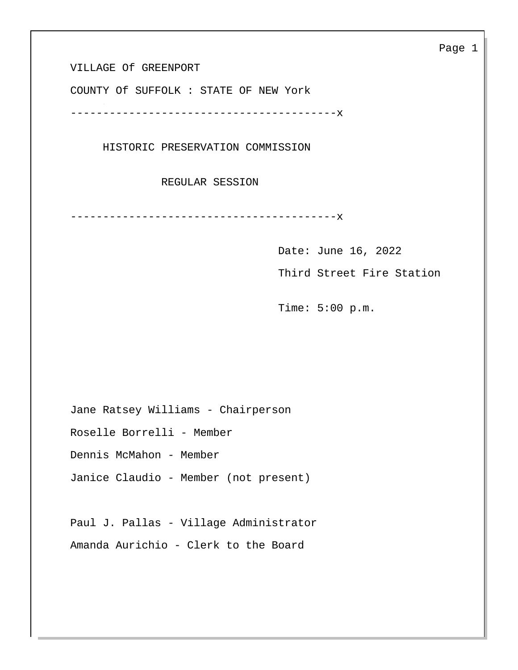VILLAGE Of GREENPORT

COUNTY Of SUFFOLK : STATE OF NEW York

-----------------------------------------x

HISTORIC PRESERVATION COMMISSION

REGULAR SESSION

-----------------------------------------x

Date: June 16, 2022

Third Street Fire Station

Time: 5:00 p.m.

Jane Ratsey Williams - Chairperson

Roselle Borrelli - Member

Dennis McMahon - Member

Janice Claudio - Member (not present)

Paul J. Pallas - Village Administrator Amanda Aurichio - Clerk to the Board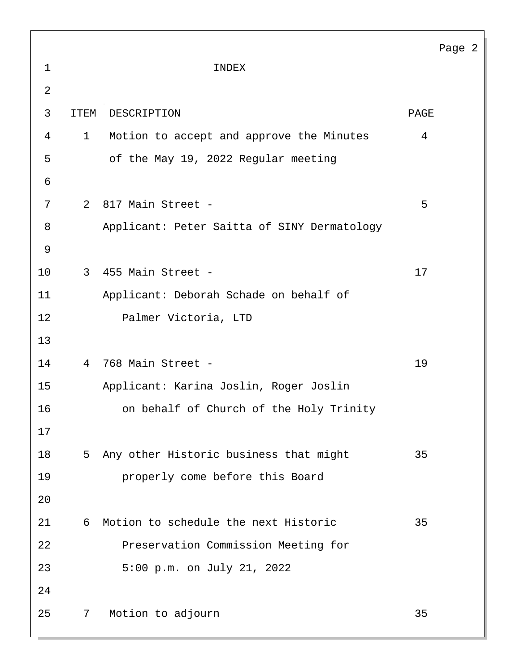|                |             |                                             |      | Page 2 |
|----------------|-------------|---------------------------------------------|------|--------|
| $\mathbf 1$    |             | INDEX                                       |      |        |
| $\overline{2}$ |             |                                             |      |        |
| 3              | <b>ITEM</b> | DESCRIPTION                                 | PAGE |        |
| 4              | 1           | Motion to accept and approve the Minutes    | 4    |        |
| 5              |             | of the May 19, 2022 Regular meeting         |      |        |
| 6              |             |                                             |      |        |
| 7              |             | 2 817 Main Street -                         | 5    |        |
| 8              |             | Applicant: Peter Saitta of SINY Dermatology |      |        |
| $\mathsf 9$    |             |                                             |      |        |
| 10             |             | 3 455 Main Street -                         | 17   |        |
| 11             |             | Applicant: Deborah Schade on behalf of      |      |        |
| 12             |             | Palmer Victoria, LTD                        |      |        |
| 13             |             |                                             |      |        |
| 14             | 4           | 768 Main Street -                           | 19   |        |
| 15             |             | Applicant: Karina Joslin, Roger Joslin      |      |        |
| 16             |             | on behalf of Church of the Holy Trinity     |      |        |
| 17             |             |                                             |      |        |
| 18             |             | 5 Any other Historic business that might    | 35   |        |
| 19             |             | properly come before this Board             |      |        |
| 20             |             |                                             |      |        |
| 21             | 6           | Motion to schedule the next Historic        | 35   |        |
| 22             |             | Preservation Commission Meeting for         |      |        |
| 23             |             | 5:00 p.m. on July 21, 2022                  |      |        |
| 24             |             |                                             |      |        |
| 25             | 7           | Motion to adjourn                           | 35   |        |
|                |             |                                             |      |        |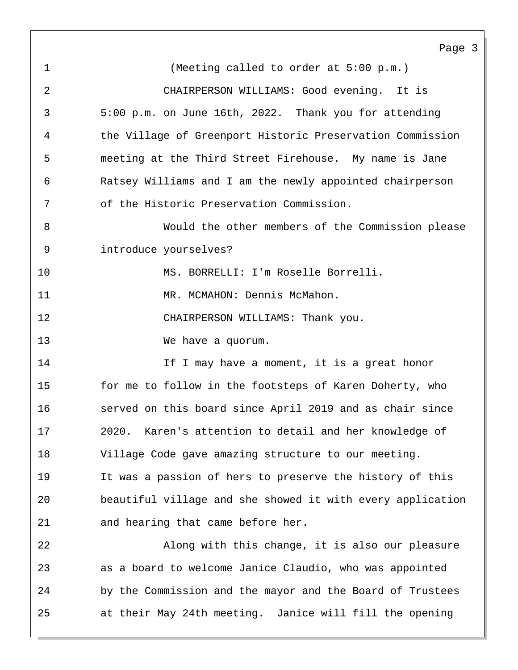1 (Meeting called to order at 5:00 p.m.) 2 CHAIRPERSON WILLIAMS: Good evening. It is 3 5:00 p.m. on June 16th, 2022. Thank you for attending 4 the Village of Greenport Historic Preservation Commission 5 meeting at the Third Street Firehouse. My name is Jane 6 Ratsey Williams and I am the newly appointed chairperson 7 of the Historic Preservation Commission. 8 Would the other members of the Commission please 9 introduce yourselves? 10 MS. BORRELLI: I'm Roselle Borrelli. 11 MR. MCMAHON: Dennis McMahon. 12 CHAIRPERSON WILLIAMS: Thank you. 13 We have a quorum. 14 14 If I may have a moment, it is a great honor 15 for me to follow in the footsteps of Karen Doherty, who 16 served on this board since April 2019 and as chair since 17 2020. Karen's attention to detail and her knowledge of 18 Village Code gave amazing structure to our meeting. 19 It was a passion of hers to preserve the history of this 20 beautiful village and she showed it with every application 21 and hearing that came before her. 22 Along with this change, it is also our pleasure

23 as a board to welcome Janice Claudio, who was appointed 24 by the Commission and the mayor and the Board of Trustees 25 at their May 24th meeting. Janice will fill the opening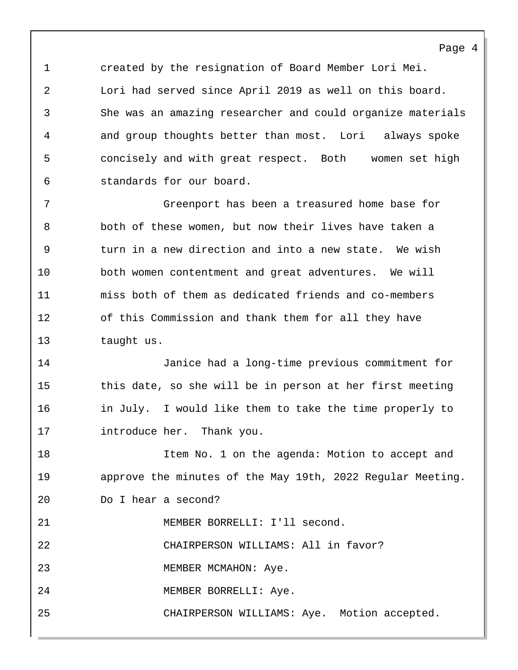1 created by the resignation of Board Member Lori Mei. 2 Lori had served since April 2019 as well on this board. 3 She was an amazing researcher and could organize materials 4 and group thoughts better than most. Lori always spoke 5 concisely and with great respect. Both women set high 6 standards for our board.

7 Greenport has been a treasured home base for 8 both of these women, but now their lives have taken a 9 turn in a new direction and into a new state. We wish 10 both women contentment and great adventures. We will 11 miss both of them as dedicated friends and co-members 12 of this Commission and thank them for all they have 13 taught us.

14 Janice had a long-time previous commitment for 15 this date, so she will be in person at her first meeting 16 in July. I would like them to take the time properly to 17 introduce her. Thank you.

18 Item No. 1 on the agenda: Motion to accept and 19 approve the minutes of the May 19th, 2022 Regular Meeting. 20 Do I hear a second?

21 MEMBER BORRELLI: I'll second.

22 CHAIRPERSON WILLIAMS: All in favor?

23 MEMBER MCMAHON: Aye.

24 MEMBER BORRELLI: Aye.

25 CHAIRPERSON WILLIAMS: Aye. Motion accepted.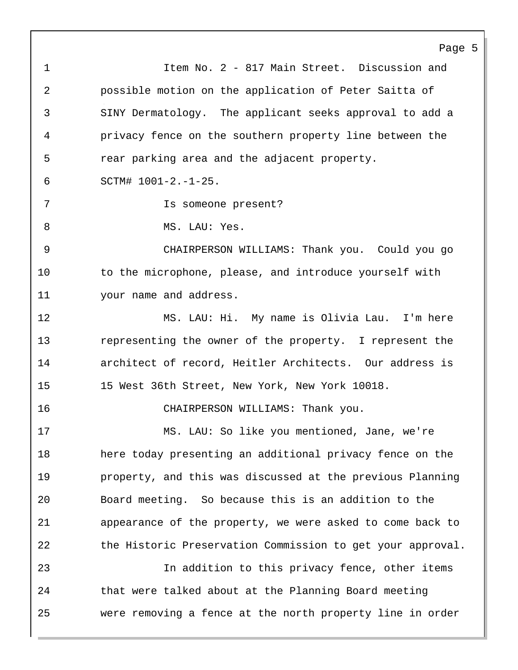Page 5 1 Item No. 2 - 817 Main Street. Discussion and 2 possible motion on the application of Peter Saitta of 3 SINY Dermatology. The applicant seeks approval to add a 4 privacy fence on the southern property line between the 5 rear parking area and the adjacent property. 6 SCTM# 1001-2.-1-25. 7 Is someone present? 8 MS. LAU: Yes. 9 CHAIRPERSON WILLIAMS: Thank you. Could you go 10 to the microphone, please, and introduce yourself with 11 your name and address. 12 MS. LAU: Hi. My name is Olivia Lau. I'm here 13 representing the owner of the property. I represent the 14 architect of record, Heitler Architects. Our address is 15 15 West 36th Street, New York, New York 10018. 16 CHAIRPERSON WILLIAMS: Thank you. 17 MS. LAU: So like you mentioned, Jane, we're 18 here today presenting an additional privacy fence on the 19 property, and this was discussed at the previous Planning 20 Board meeting. So because this is an addition to the 21 appearance of the property, we were asked to come back to 22 the Historic Preservation Commission to get your approval. 23 In addition to this privacy fence, other items 24 that were talked about at the Planning Board meeting 25 were removing a fence at the north property line in order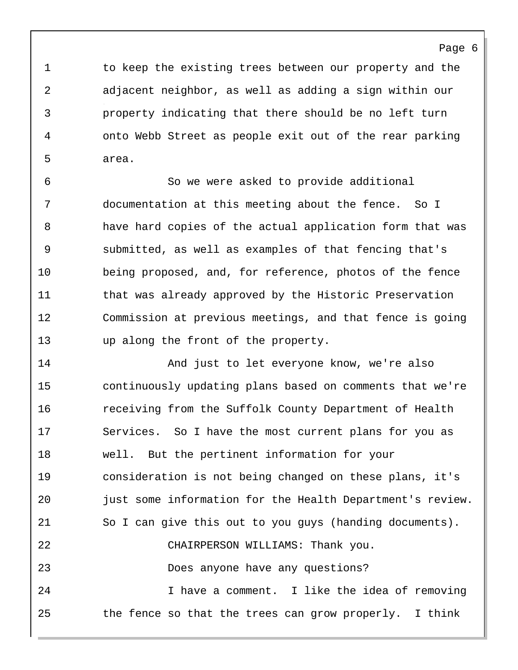1 to keep the existing trees between our property and the 2 adjacent neighbor, as well as adding a sign within our 3 property indicating that there should be no left turn 4 onto Webb Street as people exit out of the rear parking 5 area.

Page 6

6 So we were asked to provide additional 7 documentation at this meeting about the fence. So I 8 have hard copies of the actual application form that was 9 submitted, as well as examples of that fencing that's 10 being proposed, and, for reference, photos of the fence 11 that was already approved by the Historic Preservation 12 Commission at previous meetings, and that fence is going 13 up along the front of the property.

14 And just to let everyone know, we're also 15 continuously updating plans based on comments that we're 16 receiving from the Suffolk County Department of Health 17 Services. So I have the most current plans for you as 18 well. But the pertinent information for your 19 consideration is not being changed on these plans, it's 20 just some information for the Health Department's review. 21 So I can give this out to you guys (handing documents). 22 CHAIRPERSON WILLIAMS: Thank you. 23 Does anyone have any questions? 24 I have a comment. I like the idea of removing 25 the fence so that the trees can grow properly. I think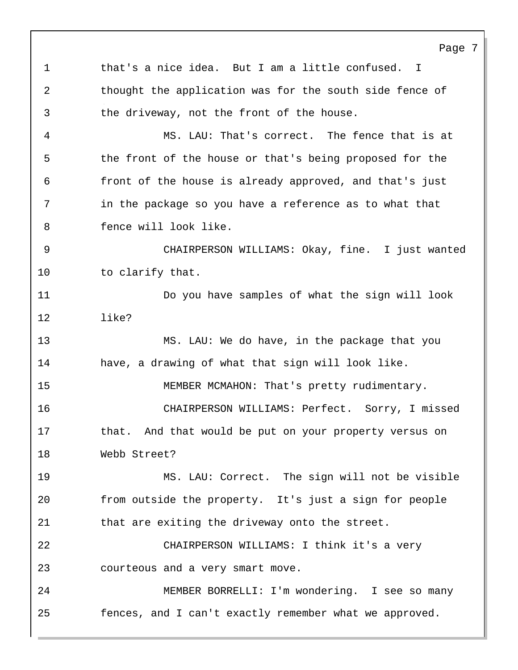Page 7 1 that's a nice idea. But I am a little confused. I 2 thought the application was for the south side fence of 3 the driveway, not the front of the house. 4 MS. LAU: That's correct. The fence that is at 5 the front of the house or that's being proposed for the 6 front of the house is already approved, and that's just 7 in the package so you have a reference as to what that 8 fence will look like. 9 CHAIRPERSON WILLIAMS: Okay, fine. I just wanted 10 to clarify that. 11 Do you have samples of what the sign will look 12 like? 13 MS. LAU: We do have, in the package that you 14 have, a drawing of what that sign will look like. 15 MEMBER MCMAHON: That's pretty rudimentary. 16 CHAIRPERSON WILLIAMS: Perfect. Sorry, I missed 17 that. And that would be put on your property versus on 18 Webb Street? 19 MS. LAU: Correct. The sign will not be visible 20 from outside the property. It's just a sign for people 21 that are exiting the driveway onto the street. 22 CHAIRPERSON WILLIAMS: I think it's a very 23 courteous and a very smart move. 24 MEMBER BORRELLI: I'm wondering. I see so many 25 fences, and I can't exactly remember what we approved.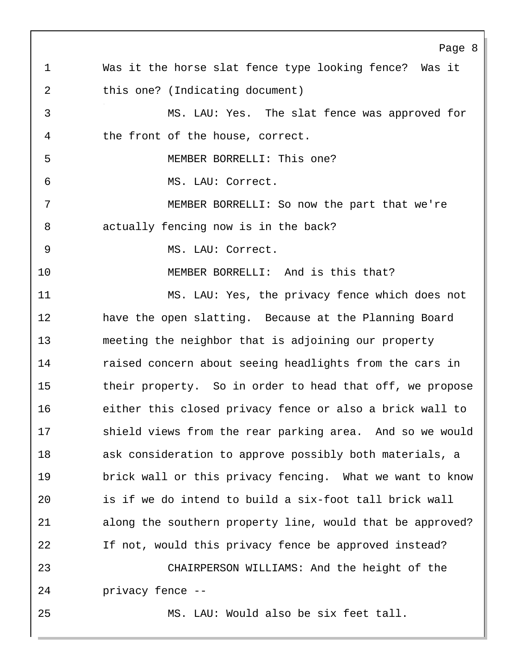Page 8 1 Was it the horse slat fence type looking fence? Was it 2 this one? (Indicating document) 3 MS. LAU: Yes. The slat fence was approved for 4 the front of the house, correct. 5 MEMBER BORRELLI: This one? 6 MS. LAU: Correct. 7 MEMBER BORRELLI: So now the part that we're 8 actually fencing now is in the back? 9 MS. LAU: Correct. 10 MEMBER BORRELLI: And is this that? 11 MS. LAU: Yes, the privacy fence which does not 12 have the open slatting. Because at the Planning Board 13 meeting the neighbor that is adjoining our property 14 raised concern about seeing headlights from the cars in 15 their property. So in order to head that off, we propose 16 either this closed privacy fence or also a brick wall to 17 shield views from the rear parking area. And so we would 18 ask consideration to approve possibly both materials, a 19 brick wall or this privacy fencing. What we want to know 20 is if we do intend to build a six-foot tall brick wall 21 along the southern property line, would that be approved? 22 If not, would this privacy fence be approved instead? 23 CHAIRPERSON WILLIAMS: And the height of the 24 privacy fence -- 25 MS. LAU: Would also be six feet tall.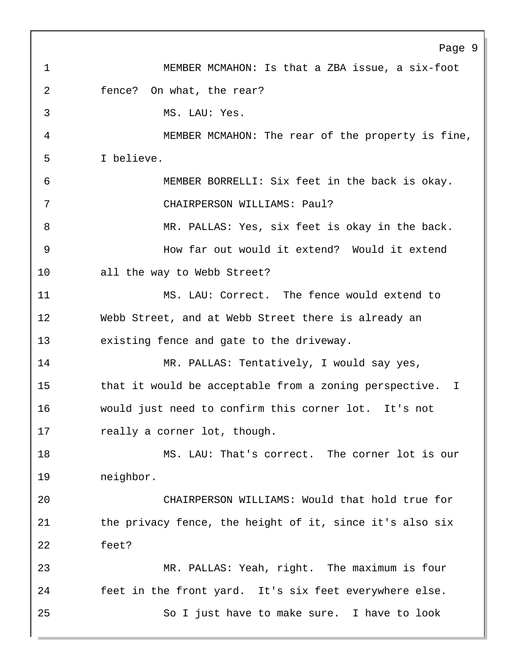Page 9 1 MEMBER MCMAHON: Is that a ZBA issue, a six-foot 2 fence? On what, the rear? 3 MS. LAU: Yes. 4 MEMBER MCMAHON: The rear of the property is fine, 5 I believe. 6 MEMBER BORRELLI: Six feet in the back is okay. 7 CHAIRPERSON WILLIAMS: Paul? 8 MR. PALLAS: Yes, six feet is okay in the back. 9 How far out would it extend? Would it extend 10 all the way to Webb Street? 11 MS. LAU: Correct. The fence would extend to 12 Webb Street, and at Webb Street there is already an 13 existing fence and gate to the driveway. 14 MR. PALLAS: Tentatively, I would say yes, 15 that it would be acceptable from a zoning perspective. I 16 would just need to confirm this corner lot. It's not 17 really a corner lot, though. 18 MS. LAU: That's correct. The corner lot is our 19 neighbor. 20 CHAIRPERSON WILLIAMS: Would that hold true for 21 the privacy fence, the height of it, since it's also six 22 feet? 23 MR. PALLAS: Yeah, right. The maximum is four 24 feet in the front yard. It's six feet everywhere else. 25 So I just have to make sure. I have to look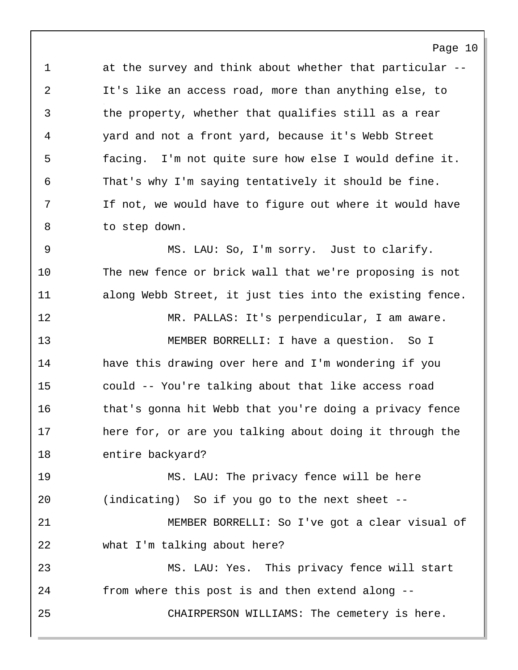1 at the survey and think about whether that particular -- 2 It's like an access road, more than anything else, to 3 the property, whether that qualifies still as a rear 4 yard and not a front yard, because it's Webb Street 5 facing. I'm not quite sure how else I would define it. 6 That's why I'm saying tentatively it should be fine. 7 If not, we would have to figure out where it would have 8 to step down.

Page 10

9 MS. LAU: So, I'm sorry. Just to clarify. 10 The new fence or brick wall that we're proposing is not 11 along Webb Street, it just ties into the existing fence.

12 MR. PALLAS: It's perpendicular, I am aware. 13 MEMBER BORRELLI: I have a question. So I 14 have this drawing over here and I'm wondering if you 15 could -- You're talking about that like access road 16 that's gonna hit Webb that you're doing a privacy fence 17 here for, or are you talking about doing it through the 18 entire backyard?

19 MS. LAU: The privacy fence will be here 20 (indicating) So if you go to the next sheet --

21 MEMBER BORRELLI: So I've got a clear visual of 22 what I'm talking about here?

23 MS. LAU: Yes. This privacy fence will start 24 from where this post is and then extend along -- 25 CHAIRPERSON WILLIAMS: The cemetery is here.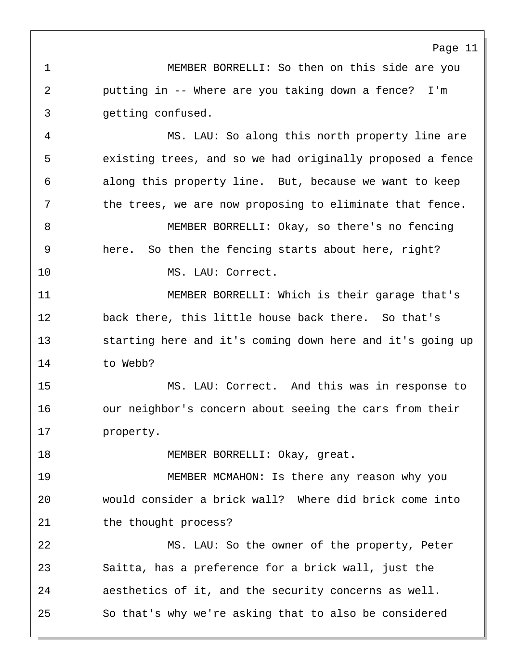1 MEMBER BORRELLI: So then on this side are you 2 putting in -- Where are you taking down a fence? I'm 3 getting confused.

4 MS. LAU: So along this north property line are 5 existing trees, and so we had originally proposed a fence 6 along this property line. But, because we want to keep 7 the trees, we are now proposing to eliminate that fence. 8 MEMBER BORRELLI: Okay, so there's no fencing 9 here. So then the fencing starts about here, right?

10 MS. LAU: Correct.

11 MEMBER BORRELLI: Which is their garage that's 12 back there, this little house back there. So that's 13 starting here and it's coming down here and it's going up 14 to Webb?

15 MS. LAU: Correct. And this was in response to 16 our neighbor's concern about seeing the cars from their 17 property.

18 MEMBER BORRELLI: Okay, great.

19 MEMBER MCMAHON: Is there any reason why you 20 would consider a brick wall? Where did brick come into 21 the thought process?

22 MS. LAU: So the owner of the property, Peter 23 Saitta, has a preference for a brick wall, just the 24 aesthetics of it, and the security concerns as well. 25 So that's why we're asking that to also be considered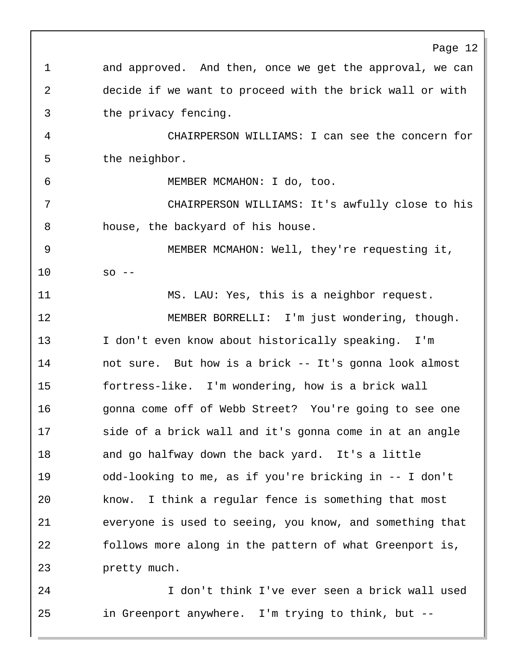Page 12 1 and approved. And then, once we get the approval, we can 2 decide if we want to proceed with the brick wall or with 3 the privacy fencing. 4 CHAIRPERSON WILLIAMS: I can see the concern for 5 the neighbor. 6 MEMBER MCMAHON: I do, too. 7 CHAIRPERSON WILLIAMS: It's awfully close to his 8 house, the backyard of his house. 9 MEMBER MCMAHON: Well, they're requesting it, 10 so -- 11 MS. LAU: Yes, this is a neighbor request. 12 MEMBER BORRELLI: I'm just wondering, though. 13 I don't even know about historically speaking. I'm 14 not sure. But how is a brick -- It's gonna look almost 15 fortress-like. I'm wondering, how is a brick wall 16 gonna come off of Webb Street? You're going to see one 17 side of a brick wall and it's gonna come in at an angle 18 and go halfway down the back yard. It's a little 19 odd-looking to me, as if you're bricking in -- I don't 20 know. I think a regular fence is something that most 21 everyone is used to seeing, you know, and something that 22 follows more along in the pattern of what Greenport is, 23 pretty much. 24 I don't think I've ever seen a brick wall used

25 in Greenport anywhere. I'm trying to think, but --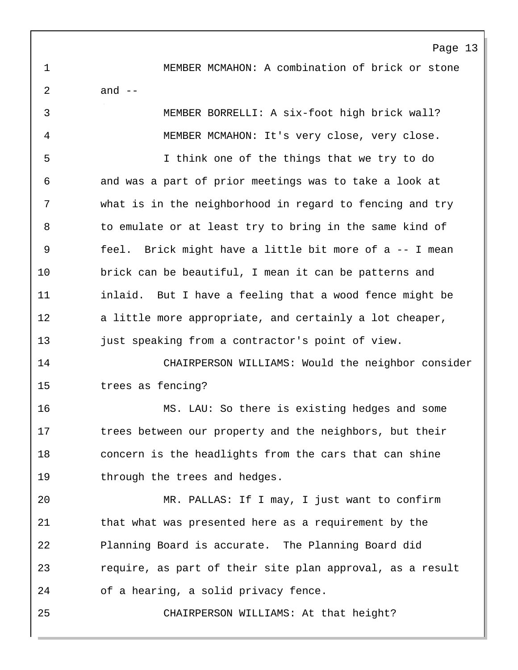Page 13 1 MEMBER MCMAHON: A combination of brick or stone 2 and -- 3 MEMBER BORRELLI: A six-foot high brick wall? 4 MEMBER MCMAHON: It's very close, very close. 5 I think one of the things that we try to do 6 and was a part of prior meetings was to take a look at 7 what is in the neighborhood in regard to fencing and try 8 to emulate or at least try to bring in the same kind of 9 feel. Brick might have a little bit more of a -- I mean 10 brick can be beautiful, I mean it can be patterns and 11 inlaid. But I have a feeling that a wood fence might be 12 a little more appropriate, and certainly a lot cheaper, 13 just speaking from a contractor's point of view.

14 CHAIRPERSON WILLIAMS: Would the neighbor consider 15 trees as fencing?

16 MS. LAU: So there is existing hedges and some 17 trees between our property and the neighbors, but their 18 concern is the headlights from the cars that can shine 19 through the trees and hedges.

20 MR. PALLAS: If I may, I just want to confirm 21 that what was presented here as a requirement by the 22 Planning Board is accurate. The Planning Board did 23 require, as part of their site plan approval, as a result 24 of a hearing, a solid privacy fence.

25 CHAIRPERSON WILLIAMS: At that height?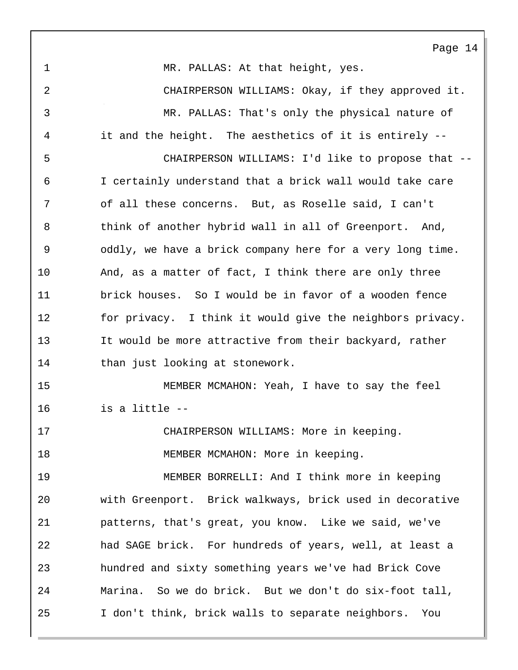Page 14 1 MR. PALLAS: At that height, yes. 2 CHAIRPERSON WILLIAMS: Okay, if they approved it. 3 MR. PALLAS: That's only the physical nature of 4 it and the height. The aesthetics of it is entirely -- 5 CHAIRPERSON WILLIAMS: I'd like to propose that -- 6 I certainly understand that a brick wall would take care 7 of all these concerns. But, as Roselle said, I can't 8 think of another hybrid wall in all of Greenport. And, 9 oddly, we have a brick company here for a very long time. 10 And, as a matter of fact, I think there are only three 11 brick houses. So I would be in favor of a wooden fence 12 for privacy. I think it would give the neighbors privacy. 13 It would be more attractive from their backyard, rather 14 than just looking at stonework. 15 MEMBER MCMAHON: Yeah, I have to say the feel 16 is a little -- 17 CHAIRPERSON WILLIAMS: More in keeping. 18 MEMBER MCMAHON: More in keeping. 19 MEMBER BORRELLI: And I think more in keeping 20 with Greenport. Brick walkways, brick used in decorative 21 patterns, that's great, you know. Like we said, we've 22 had SAGE brick. For hundreds of years, well, at least a 23 hundred and sixty something years we've had Brick Cove 24 Marina. So we do brick. But we don't do six-foot tall, 25 I don't think, brick walls to separate neighbors. You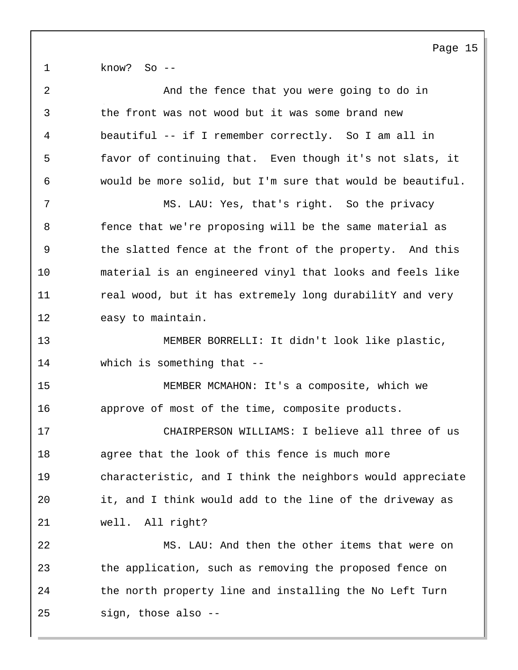1 know? So --

| $\sqrt{2}$ | And the fence that you were going to do in                 |
|------------|------------------------------------------------------------|
| 3          | the front was not wood but it was some brand new           |
| 4          | beautiful -- if I remember correctly. So I am all in       |
| 5          | favor of continuing that. Even though it's not slats, it   |
| 6          | would be more solid, but I'm sure that would be beautiful. |
| 7          | MS. LAU: Yes, that's right. So the privacy                 |
| 8          | fence that we're proposing will be the same material as    |
| 9          | the slatted fence at the front of the property. And this   |
| 10         | material is an engineered vinyl that looks and feels like  |
| 11         | real wood, but it has extremely long durabilitY and very   |
| 12         | easy to maintain.                                          |
| 13         | MEMBER BORRELLI: It didn't look like plastic,              |
| 14         | which is something that $-$ -                              |
| 15         | MEMBER MCMAHON: It's a composite, which we                 |
| 16         | approve of most of the time, composite products.           |
| 17         | CHAIRPERSON WILLIAMS: I believe all three of us            |
| 18         | agree that the look of this fence is much more             |
| 19         | characteristic, and I think the neighbors would appreciate |
| 20         | it, and I think would add to the line of the driveway as   |
| 21         | well. All right?                                           |
| 22         | MS. LAU: And then the other items that were on             |
| 23         | the application, such as removing the proposed fence on    |
| 24         | the north property line and installing the No Left Turn    |
| 25         | sign, those also --                                        |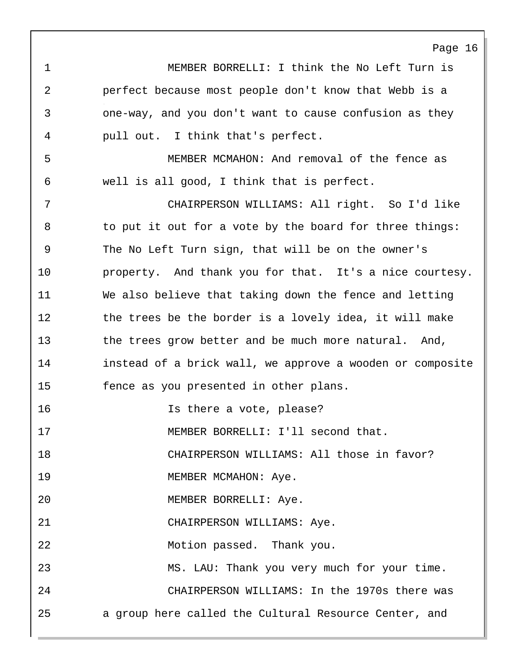1 MEMBER BORRELLI: I think the No Left Turn is 2 perfect because most people don't know that Webb is a 3 one-way, and you don't want to cause confusion as they 4 pull out. I think that's perfect.

Page 16

5 MEMBER MCMAHON: And removal of the fence as 6 well is all good, I think that is perfect.

7 CHAIRPERSON WILLIAMS: All right. So I'd like 8 to put it out for a vote by the board for three things: 9 The No Left Turn sign, that will be on the owner's 10 property. And thank you for that. It's a nice courtesy. 11 We also believe that taking down the fence and letting 12 the trees be the border is a lovely idea, it will make 13 the trees grow better and be much more natural. And, 14 instead of a brick wall, we approve a wooden or composite 15 fence as you presented in other plans.

16 Is there a vote, please?

17 MEMBER BORRELLI: I'll second that.

18 CHAIRPERSON WILLIAMS: All those in favor?

19 MEMBER MCMAHON: Aye.

20 MEMBER BORRELLI: Aye.

21 CHAIRPERSON WILLIAMS: Aye.

22 Motion passed. Thank you.

23 MS. LAU: Thank you very much for your time. 24 CHAIRPERSON WILLIAMS: In the 1970s there was 25 a group here called the Cultural Resource Center, and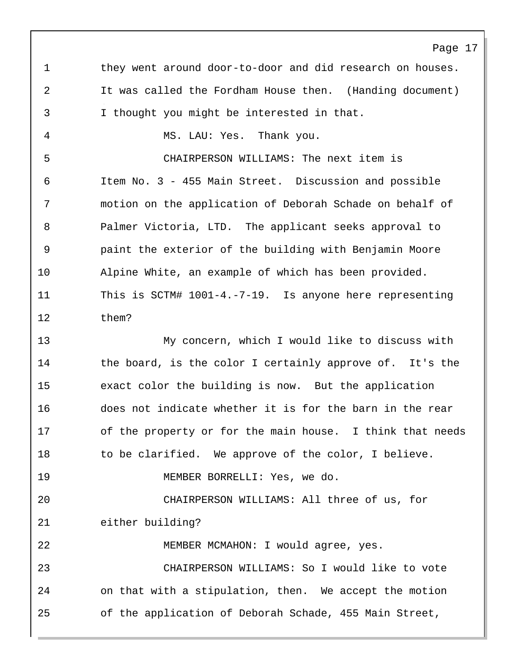Page 17 1 they went around door-to-door and did research on houses. 2 It was called the Fordham House then. (Handing document) 3 I thought you might be interested in that. 4 MS. LAU: Yes. Thank you. 5 CHAIRPERSON WILLIAMS: The next item is 6 Item No. 3 - 455 Main Street. Discussion and possible 7 motion on the application of Deborah Schade on behalf of 8 Palmer Victoria, LTD. The applicant seeks approval to 9 paint the exterior of the building with Benjamin Moore 10 Alpine White, an example of which has been provided. 11 This is SCTM# 1001-4.-7-19. Is anyone here representing 12 them? 13 My concern, which I would like to discuss with 14 the board, is the color I certainly approve of. It's the 15 exact color the building is now. But the application 16 does not indicate whether it is for the barn in the rear 17 of the property or for the main house. I think that needs 18 to be clarified. We approve of the color, I believe. 19 MEMBER BORRELLI: Yes, we do. 20 CHAIRPERSON WILLIAMS: All three of us, for 21 either building? 22 MEMBER MCMAHON: I would agree, yes. 23 CHAIRPERSON WILLIAMS: So I would like to vote 24 on that with a stipulation, then. We accept the motion 25 of the application of Deborah Schade, 455 Main Street,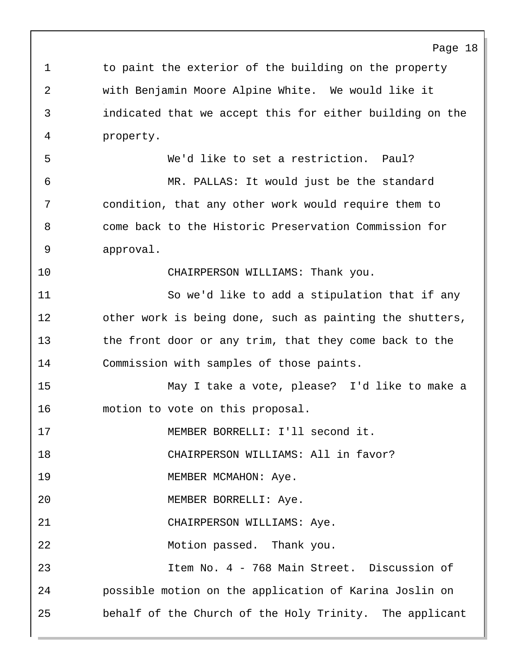1 to paint the exterior of the building on the property 2 with Benjamin Moore Alpine White. We would like it 3 indicated that we accept this for either building on the 4 property. 5 We'd like to set a restriction. Paul? 6 MR. PALLAS: It would just be the standard 7 condition, that any other work would require them to 8 come back to the Historic Preservation Commission for 9 approval. 10 CHAIRPERSON WILLIAMS: Thank you. 11 So we'd like to add a stipulation that if any 12 other work is being done, such as painting the shutters, 13 the front door or any trim, that they come back to the 14 Commission with samples of those paints. 15 May I take a vote, please? I'd like to make a 16 motion to vote on this proposal. 17 MEMBER BORRELLI: I'll second it. 18 CHAIRPERSON WILLIAMS: All in favor? 19 MEMBER MCMAHON: Aye. 20 MEMBER BORRELLI: Aye. 21 CHAIRPERSON WILLIAMS: Aye. 22 Motion passed. Thank you. 23 Item No. 4 - 768 Main Street. Discussion of 24 possible motion on the application of Karina Joslin on 25 behalf of the Church of the Holy Trinity. The applicant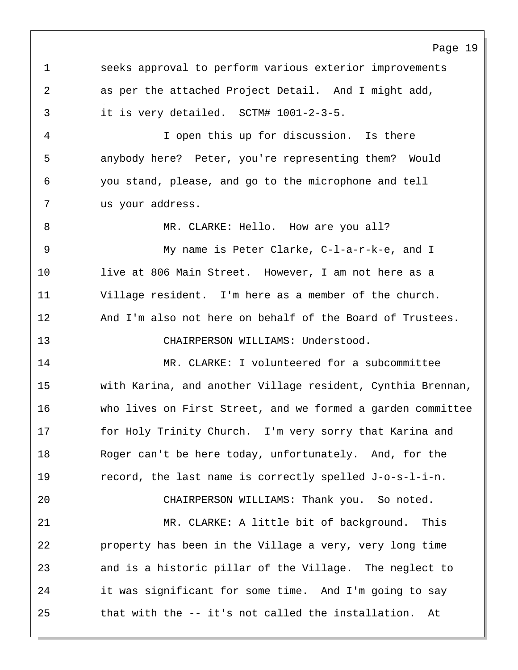1 seeks approval to perform various exterior improvements 2 as per the attached Project Detail. And I might add, 3 it is very detailed. SCTM# 1001-2-3-5.

4 I open this up for discussion. Is there 5 anybody here? Peter, you're representing them? Would 6 you stand, please, and go to the microphone and tell 7 us your address.

8 MR. CLARKE: Hello. How are you all?

9 My name is Peter Clarke, C-l-a-r-k-e, and I 10 live at 806 Main Street. However, I am not here as a 11 Village resident. I'm here as a member of the church. 12 And I'm also not here on behalf of the Board of Trustees. 13 CHAIRPERSON WILLIAMS: Understood.

14 MR. CLARKE: I volunteered for a subcommittee 15 with Karina, and another Village resident, Cynthia Brennan, 16 who lives on First Street, and we formed a garden committee 17 for Holy Trinity Church. I'm very sorry that Karina and 18 Roger can't be here today, unfortunately. And, for the 19 record, the last name is correctly spelled J-o-s-l-i-n.

20 CHAIRPERSON WILLIAMS: Thank you. So noted. 21 MR. CLARKE: A little bit of background. This 22 property has been in the Village a very, very long time 23 and is a historic pillar of the Village. The neglect to 24 it was significant for some time. And I'm going to say 25 that with the -- it's not called the installation. At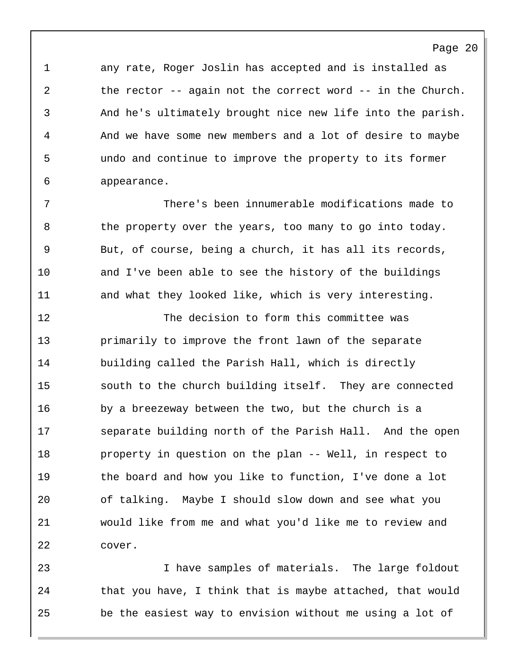1 any rate, Roger Joslin has accepted and is installed as 2 the rector -- again not the correct word -- in the Church. 3 And he's ultimately brought nice new life into the parish. 4 And we have some new members and a lot of desire to maybe 5 undo and continue to improve the property to its former 6 appearance.

7 There's been innumerable modifications made to 8 the property over the years, too many to go into today. 9 But, of course, being a church, it has all its records, 10 and I've been able to see the history of the buildings 11 and what they looked like, which is very interesting.

12 The decision to form this committee was 13 primarily to improve the front lawn of the separate 14 building called the Parish Hall, which is directly 15 south to the church building itself. They are connected 16 by a breezeway between the two, but the church is a 17 separate building north of the Parish Hall. And the open 18 property in question on the plan -- Well, in respect to 19 the board and how you like to function, I've done a lot 20 of talking. Maybe I should slow down and see what you 21 would like from me and what you'd like me to review and 22 cover.

23 I have samples of materials. The large foldout 24 that you have, I think that is maybe attached, that would 25 be the easiest way to envision without me using a lot of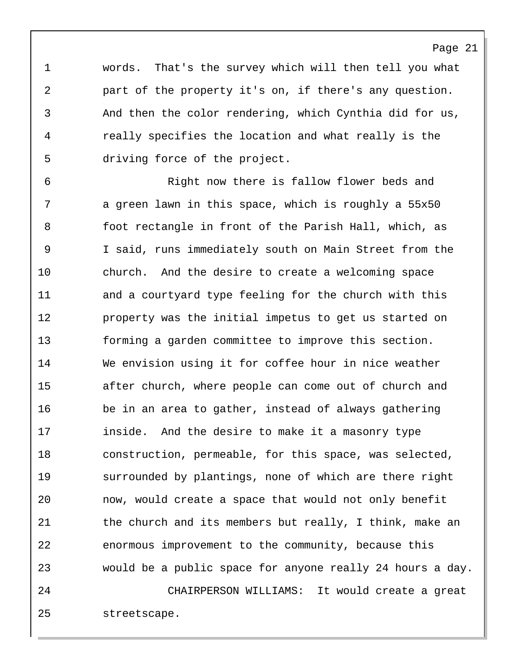1 words. That's the survey which will then tell you what 2 part of the property it's on, if there's any question. 3 And then the color rendering, which Cynthia did for us, 4 really specifies the location and what really is the 5 driving force of the project.

6 Right now there is fallow flower beds and 7 a green lawn in this space, which is roughly a 55x50 8 foot rectangle in front of the Parish Hall, which, as 9 I said, runs immediately south on Main Street from the 10 church. And the desire to create a welcoming space 11 and a courtyard type feeling for the church with this 12 **property was the initial impetus to get us started on** 13 forming a garden committee to improve this section. 14 We envision using it for coffee hour in nice weather 15 after church, where people can come out of church and 16 be in an area to gather, instead of always gathering 17 inside. And the desire to make it a masonry type 18 construction, permeable, for this space, was selected, 19 surrounded by plantings, none of which are there right 20 now, would create a space that would not only benefit 21 the church and its members but really, I think, make an 22 enormous improvement to the community, because this 23 would be a public space for anyone really 24 hours a day.

24 CHAIRPERSON WILLIAMS: It would create a great 25 streetscape.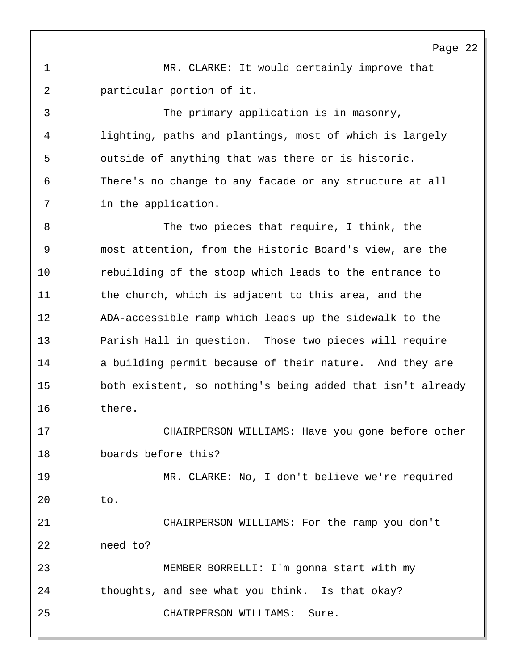1 MR. CLARKE: It would certainly improve that 2 particular portion of it.

3 The primary application is in masonry, 4 lighting, paths and plantings, most of which is largely 5 outside of anything that was there or is historic. 6 There's no change to any facade or any structure at all 7 in the application.

8 The two pieces that require, I think, the 9 most attention, from the Historic Board's view, are the 10 rebuilding of the stoop which leads to the entrance to 11 the church, which is adjacent to this area, and the 12 ADA-accessible ramp which leads up the sidewalk to the 13 Parish Hall in question. Those two pieces will require 14 a building permit because of their nature. And they are 15 both existent, so nothing's being added that isn't already 16 there.

17 CHAIRPERSON WILLIAMS: Have you gone before other 18 boards before this?

19 MR. CLARKE: No, I don't believe we're required 20 to.

21 CHAIRPERSON WILLIAMS: For the ramp you don't 22 need to? 23 MEMBER BORRELLI: I'm gonna start with my 24 thoughts, and see what you think. Is that okay? 25 CHAIRPERSON WILLIAMS: Sure.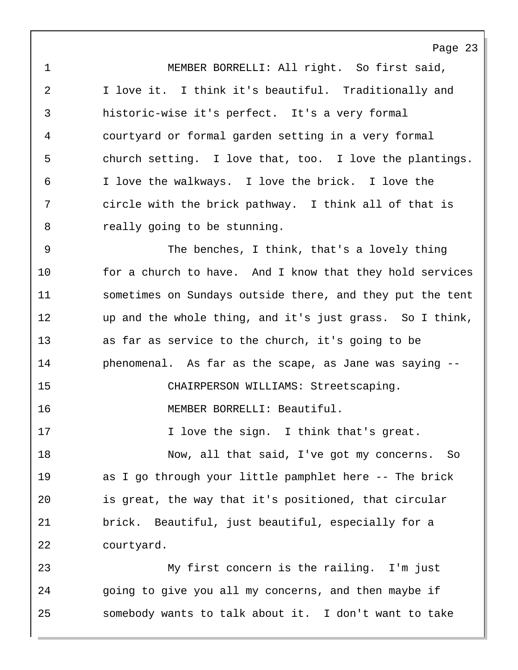1 MEMBER BORRELLI: All right. So first said, 2 I love it. I think it's beautiful. Traditionally and 3 historic-wise it's perfect. It's a very formal 4 courtyard or formal garden setting in a very formal 5 church setting. I love that, too. I love the plantings. 6 I love the walkways. I love the brick. I love the 7 circle with the brick pathway. I think all of that is 8 really going to be stunning.

9 The benches, I think, that's a lovely thing 10 for a church to have. And I know that they hold services 11 sometimes on Sundays outside there, and they put the tent 12 up and the whole thing, and it's just grass. So I think, 13 as far as service to the church, it's going to be 14 phenomenal. As far as the scape, as Jane was saying -- 15 CHAIRPERSON WILLIAMS: Streetscaping. 16 MEMBER BORRELLI: Beautiful. 17 17 I love the sign. I think that's great. 18 Now, all that said, I've got my concerns. So 19 as I go through your little pamphlet here -- The brick 20 is great, the way that it's positioned, that circular 21 brick. Beautiful, just beautiful, especially for a 22 courtyard.

23 My first concern is the railing. I'm just 24 going to give you all my concerns, and then maybe if 25 somebody wants to talk about it. I don't want to take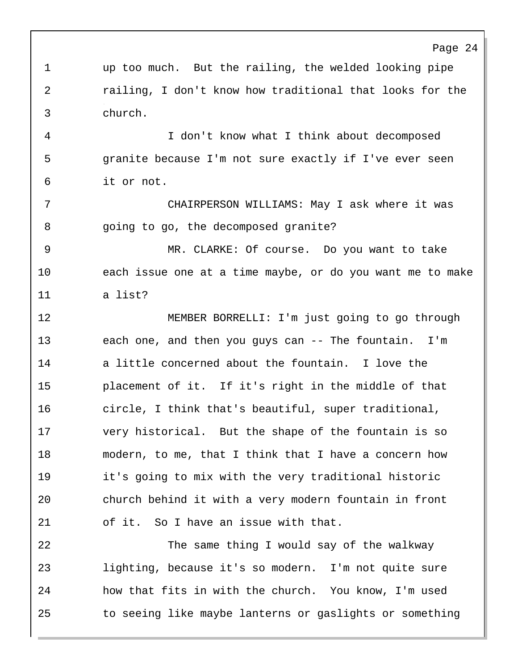1 up too much. But the railing, the welded looking pipe 2 railing, I don't know how traditional that looks for the 3 church. 4 I don't know what I think about decomposed 5 granite because I'm not sure exactly if I've ever seen 6 it or not. 7 CHAIRPERSON WILLIAMS: May I ask where it was 8 going to go, the decomposed granite? 9 MR. CLARKE: Of course. Do you want to take 10 each issue one at a time maybe, or do you want me to make 11 a list? 12 MEMBER BORRELLI: I'm just going to go through 13 each one, and then you guys can -- The fountain. I'm 14 a little concerned about the fountain. I love the 15 placement of it. If it's right in the middle of that 16 circle, I think that's beautiful, super traditional, 17 very historical. But the shape of the fountain is so 18 modern, to me, that I think that I have a concern how 19 it's going to mix with the very traditional historic 20 church behind it with a very modern fountain in front 21 of it. So I have an issue with that. 22 The same thing I would say of the walkway 23 lighting, because it's so modern. I'm not quite sure 24 how that fits in with the church. You know, I'm used

25 to seeing like maybe lanterns or gaslights or something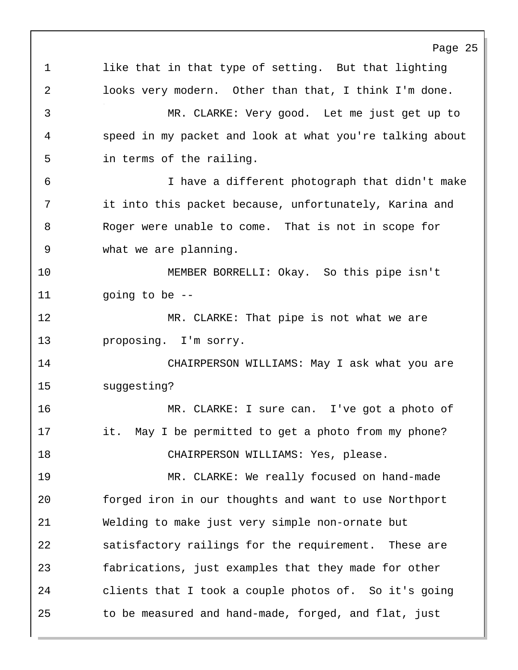Page 25 1 like that in that type of setting. But that lighting 2 looks very modern. Other than that, I think I'm done. 3 MR. CLARKE: Very good. Let me just get up to 4 speed in my packet and look at what you're talking about 5 in terms of the railing. 6 I have a different photograph that didn't make 7 it into this packet because, unfortunately, Karina and 8 Roger were unable to come. That is not in scope for 9 what we are planning. 10 MEMBER BORRELLI: Okay. So this pipe isn't 11 going to be -- 12 MR. CLARKE: That pipe is not what we are 13 proposing. I'm sorry. 14 CHAIRPERSON WILLIAMS: May I ask what you are 15 suggesting? 16 MR. CLARKE: I sure can. I've got a photo of 17 it. May I be permitted to get a photo from my phone? 18 CHAIRPERSON WILLIAMS: Yes, please. 19 MR. CLARKE: We really focused on hand-made 20 forged iron in our thoughts and want to use Northport 21 Welding to make just very simple non-ornate but 22 satisfactory railings for the requirement. These are 23 fabrications, just examples that they made for other 24 clients that I took a couple photos of. So it's going 25 to be measured and hand-made, forged, and flat, just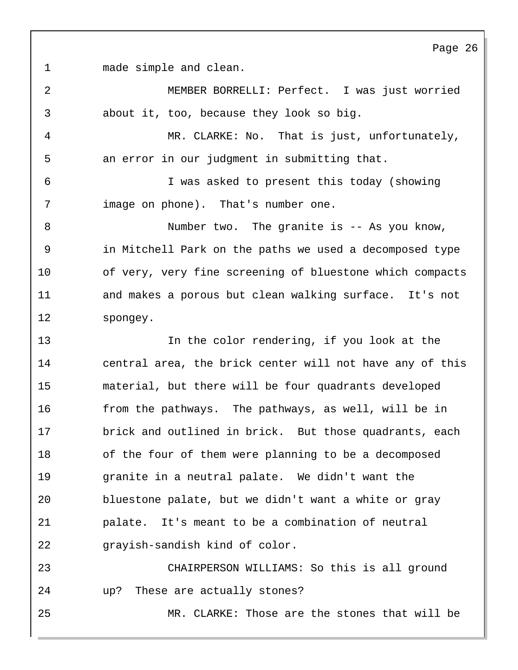1 made simple and clean.

2 MEMBER BORRELLI: Perfect. I was just worried 3 about it, too, because they look so big.

4 MR. CLARKE: No. That is just, unfortunately, 5 an error in our judgment in submitting that.

6 I was asked to present this today (showing 7 image on phone). That's number one.

8 Number two. The granite is -- As you know, 9 in Mitchell Park on the paths we used a decomposed type 10 of very, very fine screening of bluestone which compacts 11 and makes a porous but clean walking surface. It's not 12 spongey.

13 In the color rendering, if you look at the 14 central area, the brick center will not have any of this 15 material, but there will be four quadrants developed 16 from the pathways. The pathways, as well, will be in 17 brick and outlined in brick. But those quadrants, each 18 of the four of them were planning to be a decomposed 19 granite in a neutral palate. We didn't want the 20 bluestone palate, but we didn't want a white or gray 21 palate. It's meant to be a combination of neutral 22 grayish-sandish kind of color.

23 CHAIRPERSON WILLIAMS: So this is all ground 24 up? These are actually stones?

25 MR. CLARKE: Those are the stones that will be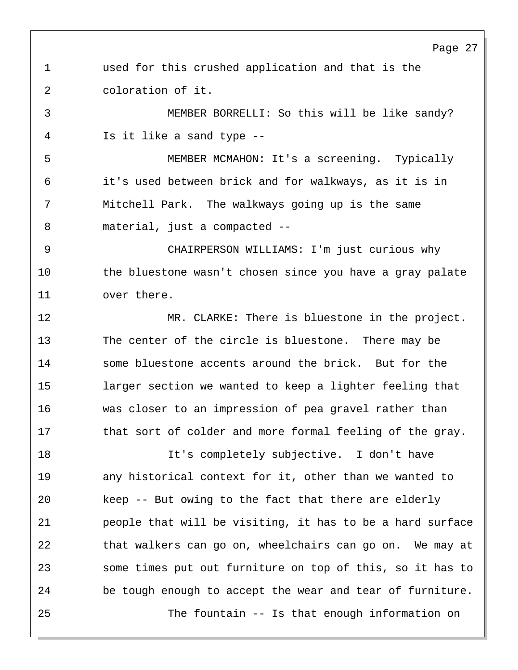1 used for this crushed application and that is the 2 coloration of it. 3 MEMBER BORRELLI: So this will be like sandy? 4 Is it like a sand type -- 5 MEMBER MCMAHON: It's a screening. Typically 6 it's used between brick and for walkways, as it is in 7 Mitchell Park. The walkways going up is the same 8 material, just a compacted -- 9 CHAIRPERSON WILLIAMS: I'm just curious why 10 the bluestone wasn't chosen since you have a gray palate 11 over there. 12 MR. CLARKE: There is bluestone in the project. 13 The center of the circle is bluestone. There may be 14 some bluestone accents around the brick. But for the 15 larger section we wanted to keep a lighter feeling that 16 was closer to an impression of pea gravel rather than 17 that sort of colder and more formal feeling of the gray. 18 It's completely subjective. I don't have 19 any historical context for it, other than we wanted to 20 keep -- But owing to the fact that there are elderly 21 people that will be visiting, it has to be a hard surface 22 that walkers can go on, wheelchairs can go on. We may at 23 some times put out furniture on top of this, so it has to 24 be tough enough to accept the wear and tear of furniture. 25 The fountain -- Is that enough information on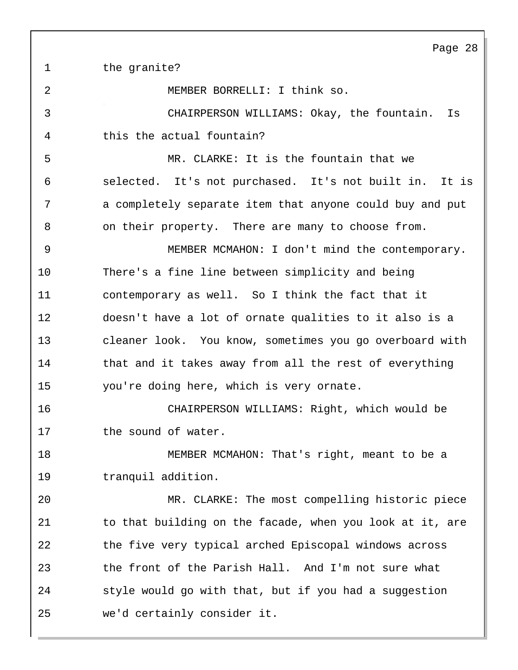1 the granite?

2 MEMBER BORRELLI: I think so.

3 CHAIRPERSON WILLIAMS: Okay, the fountain. Is 4 this the actual fountain?

5 MR. CLARKE: It is the fountain that we 6 selected. It's not purchased. It's not built in. It is 7 a completely separate item that anyone could buy and put 8 on their property. There are many to choose from.

9 MEMBER MCMAHON: I don't mind the contemporary. 10 There's a fine line between simplicity and being 11 contemporary as well. So I think the fact that it 12 doesn't have a lot of ornate qualities to it also is a 13 cleaner look. You know, sometimes you go overboard with 14 that and it takes away from all the rest of everything 15 you're doing here, which is very ornate.

16 CHAIRPERSON WILLIAMS: Right, which would be 17 the sound of water.

18 MEMBER MCMAHON: That's right, meant to be a 19 tranquil addition.

20 MR. CLARKE: The most compelling historic piece 21 to that building on the facade, when you look at it, are 22 the five very typical arched Episcopal windows across 23 the front of the Parish Hall. And I'm not sure what 24 style would go with that, but if you had a suggestion 25 we'd certainly consider it.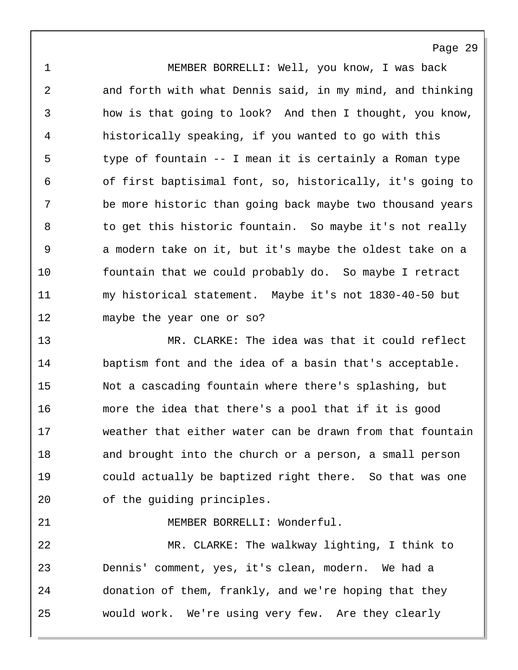1 MEMBER BORRELLI: Well, you know, I was back 2 and forth with what Dennis said, in my mind, and thinking 3 how is that going to look? And then I thought, you know, 4 historically speaking, if you wanted to go with this 5 type of fountain -- I mean it is certainly a Roman type 6 of first baptisimal font, so, historically, it's going to 7 be more historic than going back maybe two thousand years 8 to get this historic fountain. So maybe it's not really 9 a modern take on it, but it's maybe the oldest take on a 10 fountain that we could probably do. So maybe I retract 11 my historical statement. Maybe it's not 1830-40-50 but 12 maybe the year one or so?

13 MR. CLARKE: The idea was that it could reflect 14 baptism font and the idea of a basin that's acceptable. 15 Not a cascading fountain where there's splashing, but 16 more the idea that there's a pool that if it is good 17 weather that either water can be drawn from that fountain 18 and brought into the church or a person, a small person 19 could actually be baptized right there. So that was one 20 of the guiding principles.

21 MEMBER BORRELLI: Wonderful.

22 MR. CLARKE: The walkway lighting, I think to 23 Dennis' comment, yes, it's clean, modern. We had a 24 donation of them, frankly, and we're hoping that they 25 would work. We're using very few. Are they clearly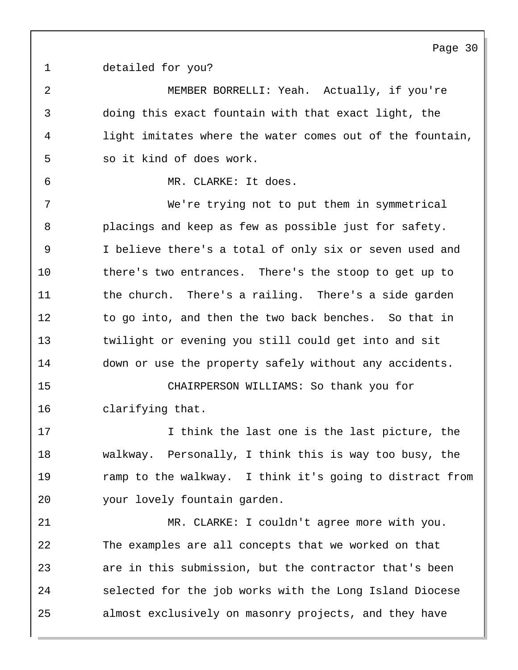1 detailed for you?

2 MEMBER BORRELLI: Yeah. Actually, if you're 3 doing this exact fountain with that exact light, the 4 light imitates where the water comes out of the fountain, 5 so it kind of does work. 6 MR. CLARKE: It does. 7 We're trying not to put them in symmetrical 8 placings and keep as few as possible just for safety. 9 I believe there's a total of only six or seven used and 10 there's two entrances. There's the stoop to get up to 11 the church. There's a railing. There's a side garden 12 to go into, and then the two back benches. So that in 13 twilight or evening you still could get into and sit 14 down or use the property safely without any accidents. 15 CHAIRPERSON WILLIAMS: So thank you for 16 clarifying that. 17 17 I think the last one is the last picture, the 18 walkway. Personally, I think this is way too busy, the 19 ramp to the walkway. I think it's going to distract from 20 your lovely fountain garden. 21 MR. CLARKE: I couldn't agree more with you. 22 The examples are all concepts that we worked on that 23 are in this submission, but the contractor that's been 24 selected for the job works with the Long Island Diocese 25 almost exclusively on masonry projects, and they have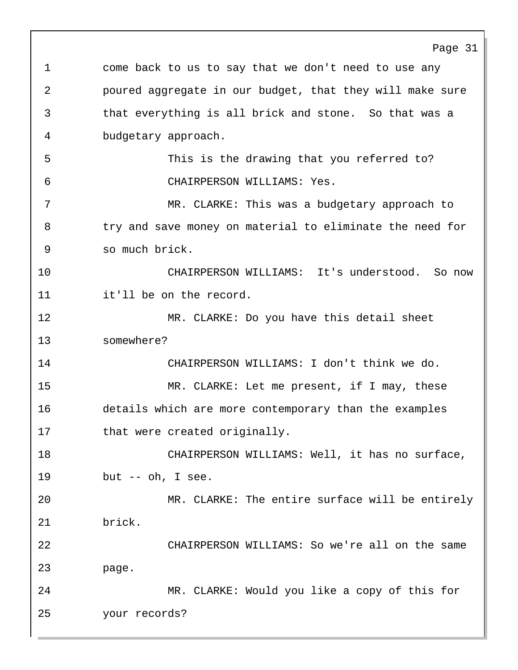Page 31 1 come back to us to say that we don't need to use any 2 poured aggregate in our budget, that they will make sure 3 that everything is all brick and stone. So that was a 4 budgetary approach. 5 This is the drawing that you referred to? 6 CHAIRPERSON WILLIAMS: Yes. 7 MR. CLARKE: This was a budgetary approach to 8 try and save money on material to eliminate the need for 9 so much brick. 10 CHAIRPERSON WILLIAMS: It's understood. So now 11 it'll be on the record. 12 MR. CLARKE: Do you have this detail sheet 13 somewhere? 14 CHAIRPERSON WILLIAMS: I don't think we do. 15 MR. CLARKE: Let me present, if I may, these 16 details which are more contemporary than the examples 17 that were created originally. 18 CHAIRPERSON WILLIAMS: Well, it has no surface, 19 but -- oh, I see. 20 MR. CLARKE: The entire surface will be entirely 21 brick. 22 CHAIRPERSON WILLIAMS: So we're all on the same 23 page. 24 MR. CLARKE: Would you like a copy of this for 25 your records?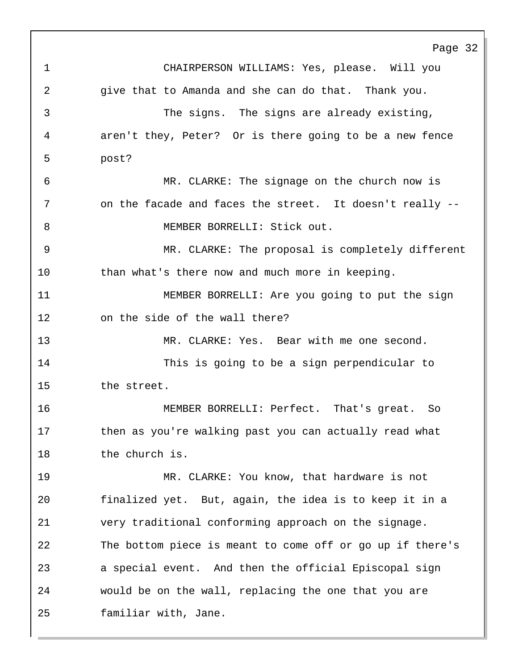Page 32 1 CHAIRPERSON WILLIAMS: Yes, please. Will you 2 give that to Amanda and she can do that. Thank you. 3 The signs. The signs are already existing, 4 aren't they, Peter? Or is there going to be a new fence 5 post? 6 MR. CLARKE: The signage on the church now is 7 on the facade and faces the street. It doesn't really --8 MEMBER BORRELLI: Stick out. 9 MR. CLARKE: The proposal is completely different 10 than what's there now and much more in keeping. 11 MEMBER BORRELLI: Are you going to put the sign 12 on the side of the wall there? 13 MR. CLARKE: Yes. Bear with me one second. 14 This is going to be a sign perpendicular to 15 the street. 16 MEMBER BORRELLI: Perfect. That's great. So 17 then as you're walking past you can actually read what 18 the church is. 19 MR. CLARKE: You know, that hardware is not 20 finalized yet. But, again, the idea is to keep it in a 21 very traditional conforming approach on the signage. 22 The bottom piece is meant to come off or go up if there's 23 a special event. And then the official Episcopal sign 24 would be on the wall, replacing the one that you are 25 familiar with, Jane.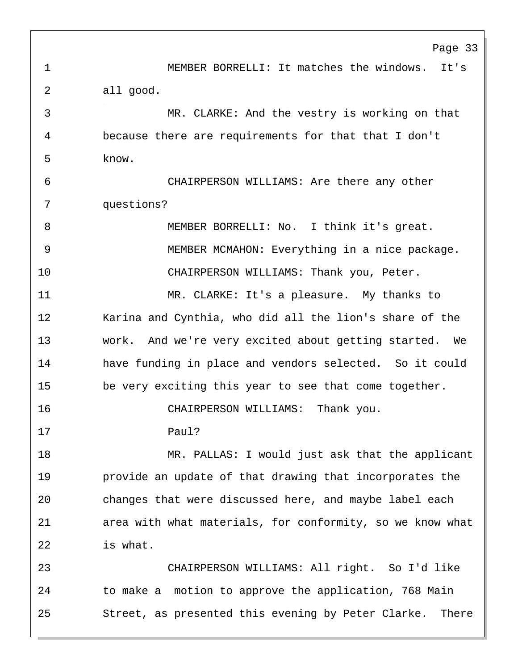Page 33 1 MEMBER BORRELLI: It matches the windows. It's 2 all good. 3 MR. CLARKE: And the vestry is working on that 4 because there are requirements for that that I don't 5 know. 6 CHAIRPERSON WILLIAMS: Are there any other 7 questions? 8 MEMBER BORRELLI: No. I think it's great. 9 MEMBER MCMAHON: Everything in a nice package. 10 CHAIRPERSON WILLIAMS: Thank you, Peter. 11 MR. CLARKE: It's a pleasure. My thanks to 12 Karina and Cynthia, who did all the lion's share of the 13 work. And we're very excited about getting started. We 14 have funding in place and vendors selected. So it could 15 be very exciting this year to see that come together. 16 CHAIRPERSON WILLIAMS: Thank you. 17 Paul? 18 MR. PALLAS: I would just ask that the applicant 19 provide an update of that drawing that incorporates the 20 changes that were discussed here, and maybe label each 21 area with what materials, for conformity, so we know what 22 is what. 23 CHAIRPERSON WILLIAMS: All right. So I'd like

24 to make a motion to approve the application, 768 Main 25 Street, as presented this evening by Peter Clarke. There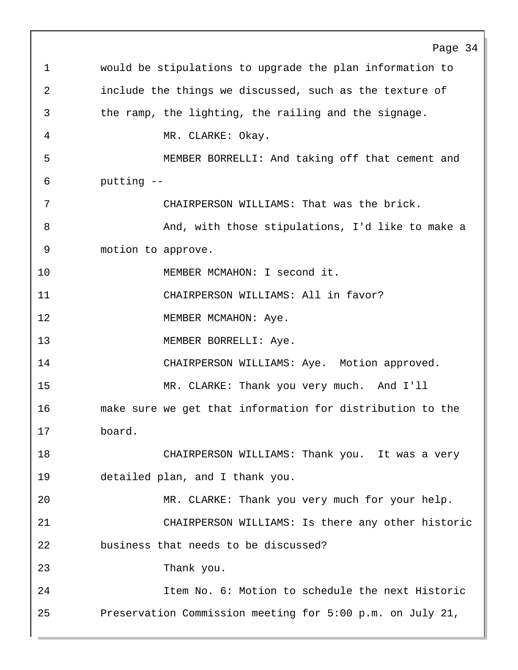Page 34 1 would be stipulations to upgrade the plan information to 2 include the things we discussed, such as the texture of 3 the ramp, the lighting, the railing and the signage. 4 MR. CLARKE: Okay. 5 MEMBER BORRELLI: And taking off that cement and 6 putting -- 7 CHAIRPERSON WILLIAMS: That was the brick. 8 And, with those stipulations, I'd like to make a 9 motion to approve. 10 MEMBER MCMAHON: I second it. 11 CHAIRPERSON WILLIAMS: All in favor? 12 MEMBER MCMAHON: Aye. 13 MEMBER BORRELLI: Aye. 14 CHAIRPERSON WILLIAMS: Aye. Motion approved. 15 MR. CLARKE: Thank you very much. And I'll 16 make sure we get that information for distribution to the 17 board. 18 CHAIRPERSON WILLIAMS: Thank you. It was a very 19 detailed plan, and I thank you. 20 MR. CLARKE: Thank you very much for your help. 21 CHAIRPERSON WILLIAMS: Is there any other historic 22 business that needs to be discussed? 23 Thank you. 24 Item No. 6: Motion to schedule the next Historic 25 Preservation Commission meeting for 5:00 p.m. on July 21,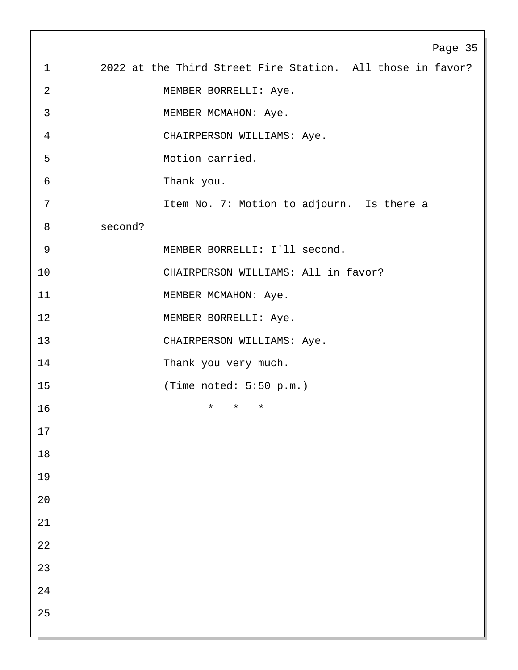|                | Page 35                                                    |
|----------------|------------------------------------------------------------|
| $\mathbf 1$    | 2022 at the Third Street Fire Station. All those in favor? |
| $\overline{a}$ | MEMBER BORRELLI: Aye.                                      |
| $\mathbf{3}$   | MEMBER MCMAHON: Aye.                                       |
| $\overline{4}$ | CHAIRPERSON WILLIAMS: Aye.                                 |
| 5              | Motion carried.                                            |
| $\epsilon$     | Thank you.                                                 |
| 7              | Item No. 7: Motion to adjourn. Is there a                  |
| 8              | second?                                                    |
| $\mathsf 9$    | MEMBER BORRELLI: I'll second.                              |
| 10             | CHAIRPERSON WILLIAMS: All in favor?                        |
| 11             | MEMBER MCMAHON: Aye.                                       |
| 12             | MEMBER BORRELLI: Aye.                                      |
| 13             | CHAIRPERSON WILLIAMS: Aye.                                 |
| 14             | Thank you very much.                                       |
| 15             | (Time noted: $5:50$ p.m.)                                  |
| 16             | $^\star$<br>*<br>*                                         |
| 17             |                                                            |
| $18\,$         |                                                            |
| 19             |                                                            |
| $20\,$         |                                                            |
| 21             |                                                            |
| $2\sqrt{2}$    |                                                            |
| 23             |                                                            |
| 24             |                                                            |
| 25             |                                                            |
|                |                                                            |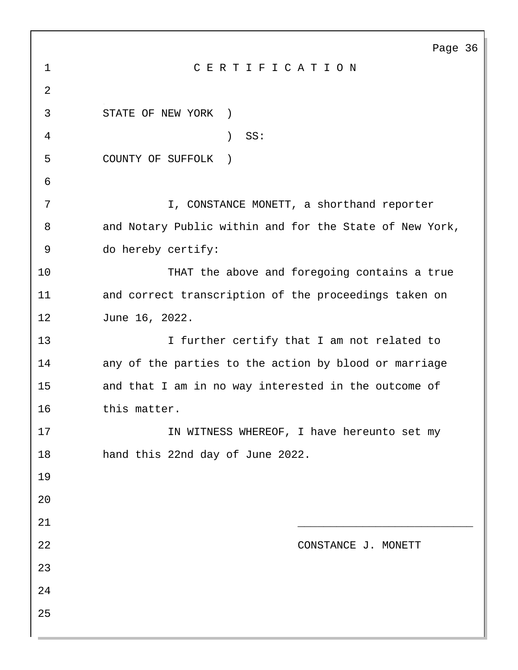|                | Page 36                                                 |
|----------------|---------------------------------------------------------|
| $\mathbf 1$    | CERTIFICATION                                           |
| $\overline{2}$ |                                                         |
| 3              | STATE OF NEW YORK<br>$\rightarrow$                      |
| 4              | SS:<br>$\lambda$                                        |
| 5              | COUNTY OF SUFFOLK<br>$\rightarrow$                      |
| 6              |                                                         |
| 7              | I, CONSTANCE MONETT, a shorthand reporter               |
| 8              | and Notary Public within and for the State of New York, |
| 9              | do hereby certify:                                      |
| 10             | THAT the above and foregoing contains a true            |
| 11             | and correct transcription of the proceedings taken on   |
| 12             | June 16, 2022.                                          |
| 13             | I further certify that I am not related to              |
| 14             | any of the parties to the action by blood or marriage   |
| 15             | and that I am in no way interested in the outcome of    |
| 16             | this matter.                                            |
| 17             | IN WITNESS WHEREOF, I have hereunto set my              |
| 18             | hand this 22nd day of June 2022.                        |
| 19             |                                                         |
| 20             |                                                         |
| 21             |                                                         |
| 22             | CONSTANCE J. MONETT                                     |
| 23             |                                                         |
| 24             |                                                         |
| 25             |                                                         |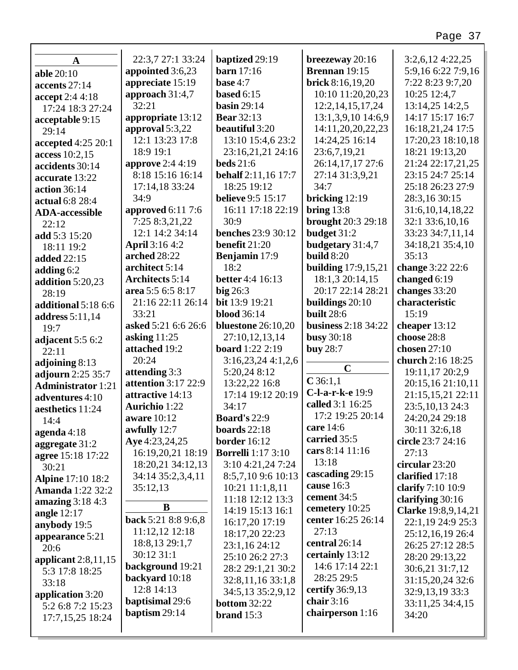| $\mathbf{A}$              | 22:3,7 27:1 33:24       | baptized 29:19            | breezeway 20:16            | $3:2,6,12$ 4:22,25   |
|---------------------------|-------------------------|---------------------------|----------------------------|----------------------|
| able 20:10                | appointed 3:6,23        | <b>barn</b> 17:16         | Brennan 19:15              | 5:9,16 6:22 7:9,16   |
| accents 27:14             | appreciate 15:19        | base $4:7$                | brick 8:16,19,20           | 7:22 8:23 9:7,20     |
| accept 2:4 4:18           | approach 31:4,7         | based $6:15$              | 10:10 11:20,20,23          | 10:25 12:4,7         |
| 17:24 18:3 27:24          | 32:21                   | basin $29:14$             | 12:2, 14, 15, 17, 24       | 13:14,25 14:2,5      |
| acceptable 9:15           | appropriate 13:12       | <b>Bear</b> 32:13         | 13:1,3,9,10 14:6,9         | 14:17 15:17 16:7     |
| 29:14                     | approval 5:3,22         | beautiful 3:20            | 14:11,20,20,22,23          | 16:18,21,24 17:5     |
| accepted 4:25 20:1        | 12:1 13:23 17:8         | 13:10 15:4,6 23:2         | 14:24,25 16:14             | 17:20,23 18:10,18    |
| access 10:2,15            | 18:9 19:1               | 23:16,21,21 24:16         | 23:6,7,19,21               | 18:21 19:13,20       |
| accidents 30:14           | <b>approve</b> 2:4 4:19 | <b>beds</b> 21:6          | 26:14,17,17 27:6           | 21:24 22:17,21,25    |
| accurate 13:22            | 8:18 15:16 16:14        | behalf 2:11,16 17:7       | 27:14 31:3,9,21            | 23:15 24:7 25:14     |
| action 36:14              | 17:14,18 33:24          | 18:25 19:12               | 34:7                       | 25:18 26:23 27:9     |
| actual 6:8 28:4           | 34:9                    | <b>believe</b> 9:5 15:17  | bricking $12:19$           | 28:3,16 30:15        |
| <b>ADA-accessible</b>     | approved 6:11 7:6       | 16:11 17:18 22:19         | bring $13:8$               | 31:6, 10, 14, 18, 22 |
| 22:12                     | 7:25 8:3,21,22          | 30:9                      | <b>brought</b> 20:3 29:18  | 32:1 33:6,10,16      |
| add 5:3 15:20             | 12:1 14:2 34:14         | <b>benches</b> 23:9 30:12 | budget 31:2                | 33:23 34:7,11,14     |
| 18:11 19:2                | <b>April</b> 3:16 4:2   | benefit 21:20             | budgetary 31:4,7           | 34:18,21 35:4,10     |
| added 22:15               | arched 28:22            | Benjamin 17:9             | build $8:20$               | 35:13                |
| adding $6:2$              | architect 5:14          | 18:2                      | <b>building</b> 17:9,15,21 | change 3:22 22:6     |
| addition 5:20,23          | <b>Architects 5:14</b>  | <b>better</b> 4:4 16:13   | 18:1,3 20:14,15            | changed $6:19$       |
| 28:19                     | area 5:5 6:5 8:17       | $big$ 26:3                | 20:17 22:14 28:21          | changes 33:20        |
| additional 5:18 6:6       | 21:16 22:11 26:14       | bit 13:9 19:21            | buildings $20:10$          | characteristic       |
| address 5:11,14           | 33:21                   | <b>blood</b> 36:14        | built 28:6                 | 15:19                |
| 19:7                      | asked 5:21 6:6 26:6     | <b>bluestone</b> 26:10,20 | <b>business</b> 2:18 34:22 | cheaper 13:12        |
| adjacent 5:5 6:2          | asking $11:25$          | 27:10,12,13,14            | <b>busy 30:18</b>          | choose 28:8          |
| 22:11                     | attached 19:2           | <b>board</b> 1:22 2:19    | buy 28:7                   | chosen 27:10         |
| adjoining 8:13            | 20:24                   | 3:16,23,244:1,2,6         |                            | church 2:16 18:25    |
| adjourn 2:25 35:7         | attending 3:3           | 5:20,24 8:12              | $\mathbf C$                | 19:11,17 20:2,9      |
| <b>Administrator</b> 1:21 | attention 3:17 22:9     | 13:22,22 16:8             | $C$ 36:1,1                 | 20:15,16 21:10,11    |
| adventures 4:10           | attractive 14:13        | 17:14 19:12 20:19         | C-l-a-r-k-e 19:9           | 21:15,15,21 22:11    |
| aesthetics 11:24          | <b>Aurichio</b> 1:22    | 34:17                     | called 3:1 16:25           | 23:5, 10, 13 24:3    |
| 14:4                      | aware 10:12             | <b>Board's 22:9</b>       | 17:2 19:25 20:14           | 24:20,24 29:18       |
| agenda $4:18$             | awfully $12:7$          | <b>boards</b> $22:18$     | care 14:6                  | 30:11 32:6,18        |
| aggregate 31:2            | Aye 4:23,24,25          | <b>border</b> 16:12       | carried 35:5               | circle 23:7 24:16    |
| agree 15:18 17:22         | 16:19,20,21 18:19       | <b>Borrelli</b> 1:17 3:10 | cars 8:14 11:16            | 27:13                |
| 30:21                     | 18:20,21 34:12,13       | 3:10 4:21,24 7:24         | 13:18                      | circular 23:20       |
| <b>Alpine 17:10 18:2</b>  | 34:14 35:2,3,4,11       | 8:5,7,10 9:6 10:13        | cascading 29:15            | clarified 17:18      |
| <b>Amanda</b> 1:22 32:2   | 35:12,13                | 10:21 11:1,8,11           | cause 16:3                 | clarify 7:10 10:9    |
| amazing 3:18 4:3          |                         | 11:18 12:12 13:3          | cement 34:5                | clarifying $30:16$   |
| angle $12:17$             | B                       | 14:19 15:13 16:1          | cemetery 10:25             | Clarke 19:8,9,14,21  |
| anybody 19:5              | back 5:21 8:8 9:6,8     | 16:17,20 17:19            | center 16:25 26:14         | 22:1,19 24:9 25:3    |
| appearance 5:21           | 11:12,12 12:18          | 18:17,20 22:23            | 27:13                      | 25:12,16,19 26:4     |
| 20:6                      | 18:8, 13 29:1, 7        | 23:1,16 24:12             | central 26:14              | 26:25 27:12 28:5     |
| applicant $2:8,11,15$     | 30:12 31:1              | 25:10 26:2 27:3           | certainly 13:12            | 28:20 29:13,22       |
| 5:3 17:8 18:25            | background 19:21        | 28:2 29:1,21 30:2         | 14:6 17:14 22:1            | 30:6,21 31:7,12      |
| 33:18                     | backyard 10:18          | 32:8,11,16 33:1,8         | 28:25 29:5                 | 31:15,20,24 32:6     |
| application 3:20          | 12:8 14:13              | 34:5,13 35:2,9,12         | certify 36:9,13            | 32:9,13,19 33:3      |
| 5:2 6:8 7:2 15:23         | baptisimal 29:6         | <b>bottom 32:22</b>       | chair $3:16$               | 33:11,25 34:4,15     |
| 17:7,15,25 18:24          | baptism 29:14           | brand $15:3$              | chairperson 1:16           | 34:20                |
|                           |                         |                           |                            |                      |
|                           |                         |                           |                            |                      |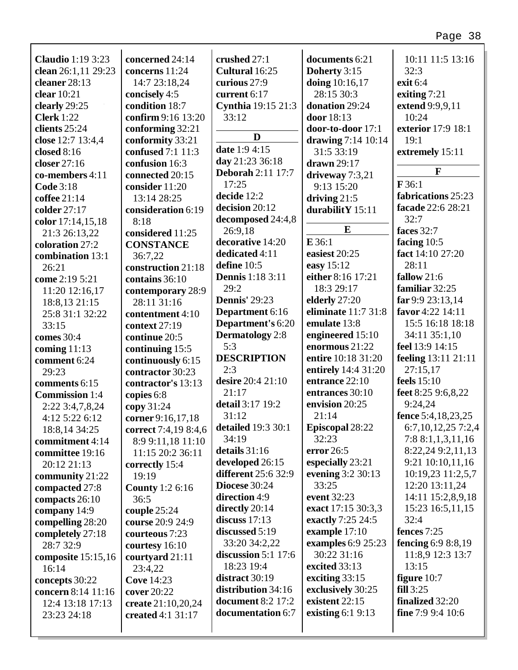| <b>Claudio</b> 1:19 3:23 | concerned 24:14        | crushed 27:1               | documents 6:21                       | 10:11 11:5 13:16                  |
|--------------------------|------------------------|----------------------------|--------------------------------------|-----------------------------------|
| clean 26:1,11 29:23      | concerns 11:24         | Cultural 16:25             | Doherty 3:15                         | 32:3                              |
| cleaner 28:13            | 14:7 23:18,24          | curious 27:9               | doing 10:16,17                       | exit 6:4                          |
| clear 10:21              | concisely 4:5          | current 6:17               | 28:15 30:3                           | exiting $7:21$                    |
| clearly 29:25            | condition 18:7         | Cynthia 19:15 21:3         | donation 29:24                       | extend 9:9,9,11                   |
| <b>Clerk</b> 1:22        | confirm 9:16 13:20     | 33:12                      | door 18:13                           | 10:24                             |
| clients 25:24            | conforming 32:21       | D                          | door-to-door 17:1                    | exterior 17:9 18:1                |
| close 12:7 13:4,4        | conformity 33:21       | date 1:9 4:15              | drawing $7:14$ 10:14                 | 19:1                              |
| closed $8:16$            | confused 7:1 11:3      | day 21:23 36:18            | 31:5 33:19                           | extremely 15:11                   |
| closer 27:16             | confusion 16:3         | <b>Deborah 2:11 17:7</b>   | drawn 29:17                          | $\mathbf{F}$                      |
| co-members 4:11          | connected 20:15        | 17:25                      | driveway $7:3,21$                    | F36:1                             |
| <b>Code 3:18</b>         | consider 11:20         | decide 12:2                | 9:13 15:20                           | fabrications 25:23                |
| coffee $21:14$           | 13:14 28:25            | decision 20:12             | driving $21:5$                       | facade 22:6 28:21                 |
| colder 27:17             | consideration 6:19     | decomposed 24:4,8          | durabilitY 15:11                     | 32:7                              |
| color 17:14,15,18        | 8:18                   | 26:9,18                    | $\bf{E}$                             | faces 32:7                        |
| 21:3 26:13,22            | considered 11:25       | decorative 14:20           | $E$ 36:1                             |                                   |
| coloration 27:2          | <b>CONSTANCE</b>       | dedicated 4:11             | easiest 20:25                        | facing $10:5$<br>fact 14:10 27:20 |
| combination 13:1         | 36:7,22                | define 10:5                |                                      | 28:11                             |
| 26:21                    | construction 21:18     | <b>Dennis</b> 1:18 3:11    | easy 15:12<br>either 8:16 17:21      | fallow 21:6                       |
| come 2:19 5:21           | contains 36:10         | 29:2                       | 18:3 29:17                           | familiar 32:25                    |
| 11:20 12:16,17           | contemporary 28:9      | <b>Dennis'</b> 29:23       |                                      | far 9:9 23:13,14                  |
| 18:8,13 21:15            | 28:11 31:16            |                            | elderly 27:20<br>eliminate 11:7 31:8 | favor 4:22 14:11                  |
| 25:8 31:1 32:22          | contentment 4:10       | Department 6:16            |                                      |                                   |
| 33:15                    | context 27:19          | Department's 6:20          | emulate 13:8                         | 15:5 16:18 18:18                  |
| comes 30:4               | continue 20:5          | <b>Dermatology</b> 2:8     | engineered 15:10                     | 34:11 35:1,10                     |
| coming $11:13$           | continuing 15:5        | 5:3                        | enormous 21:22                       | feel 13:9 14:15                   |
| comment 6:24             | continuously 6:15      | <b>DESCRIPTION</b>         | entire 10:18 31:20                   | feeling 13:11 21:11               |
| 29:23                    | contractor 30:23       | 2:3                        | entirely 14:4 31:20                  | 27:15,17                          |
| comments 6:15            | contractor's 13:13     | desire 20:4 21:10          | entrance 22:10                       | feels 15:10                       |
| <b>Commission</b> 1:4    | copies 6:8             | 21:17                      | entrances 30:10                      | feet 8:25 9:6,8,22                |
| 2:22 3:4,7,8,24          | copy 31:24             | detail 3:17 19:2           | envision 20:25                       | 9:24,24                           |
| 4:12 5:22 6:12           | corner 9:16,17,18      | 31:12                      | 21:14                                | fence 5:4,18,23,25                |
| 18:8,14 34:25            | correct 7:4,19 8:4,6   | detailed 19:3 30:1         | Episcopal 28:22                      | 6:7,10,12,25 7:2,4                |
| commitment 4:14          | 8:9 9:11,18 11:10      | 34:19                      | 32:23                                | 7:88:1,1,3,11,16                  |
| committee 19:16          | 11:15 20:2 36:11       | details 31:16              | error $26:5$                         | 8:22,24 9:2,11,13                 |
| 20:12 21:13              | correctly 15:4         | developed 26:15            | especially 23:21                     | 9:21 10:10,11,16                  |
| community 21:22          | 19:19                  | <b>different</b> 25:6 32:9 | evening 3:2 30:13                    | 10:19,23 11:2,5,7                 |
| compacted 27:8           | <b>County</b> 1:2 6:16 | <b>Diocese</b> 30:24       | 33:25                                | 12:20 13:11,24                    |
| compacts 26:10           | 36:5                   | direction 4:9              | event 32:23                          | 14:11 15:2,8,9,18                 |
| company 14:9             | couple 25:24           | directly 20:14             | exact 17:15 30:3,3                   | 15:23 16:5,11,15                  |
| compelling 28:20         | course 20:9 24:9       | discuss $17:13$            | exactly 7:25 24:5                    | 32:4                              |
| completely 27:18         | courteous 7:23         | discussed 5:19             | example 17:10                        | fences 7:25                       |
| 28:7 32:9                | courtesy 16:10         | 33:20 34:2,22              | examples 6:9 25:23                   | fencing 6:9 8:8,19                |
| composite 15:15,16       | courtyard 21:11        | discussion $5:1$ 17:6      | 30:22 31:16                          | 11:8,9 12:3 13:7                  |
| 16:14                    | 23:4,22                | 18:23 19:4                 | excited 33:13                        | 13:15                             |
| concepts 30:22           | <b>Cove 14:23</b>      | distract $30:19$           | exciting $33:15$                     | figure 10:7                       |
| concern 8:14 11:16       | cover 20:22            | distribution 34:16         | exclusively 30:25                    | fill 3:25                         |
| 12:4 13:18 17:13         | create 21:10,20,24     | <b>document 8:2 17:2</b>   | existent 22:15                       | <b>finalized</b> 32:20            |
| 23:23 24:18              | created 4:1 31:17      | documentation 6:7          | existing $6:19:13$                   | fine 7:9 9:4 $10:6$               |
|                          |                        |                            |                                      |                                   |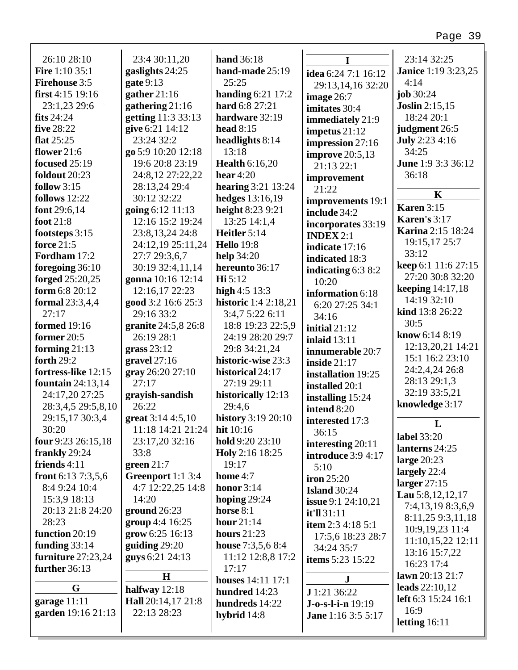| 26:10 28:10           | 23:4 30:11,20       | hand 36:18                  |                           | 23:14 32:25                |
|-----------------------|---------------------|-----------------------------|---------------------------|----------------------------|
| <b>Fire</b> 1:10 35:1 | gaslights 24:25     | hand-made 25:19             | idea 6:24 7:1 16:12       | <b>Janice</b> 1:19 3:23,25 |
| <b>Firehouse 3:5</b>  | gate $9:13$         | 25:25                       | 29:13,14,16 32:20         | 4:14                       |
| first $4:15$ 19:16    | gather $21:16$      | handing $6:21$ 17:2         | image 26:7                | job 30:24                  |
| 23:1,23 29:6          | gathering 21:16     | hard 6:8 27:21              | imitates 30:4             | <b>Joslin</b> 2:15,15      |
| fits $24:24$          | getting 11:3 33:13  | hardware 32:19              | immediately 21:9          | 18:24 20:1                 |
| five 28:22            | give 6:21 14:12     | head $8:15$                 | impetus $21:12$           | judgment 26:5              |
| flat $25:25$          | 23:24 32:2          | headlights 8:14             | impression 27:16          | <b>July</b> 2:23 4:16      |
| flower $21:6$         | go 5:9 10:20 12:18  | 13:18                       | improve $20:5,13$         | 34:25                      |
| <b>focused</b> 25:19  | 19:6 20:8 23:19     | <b>Health 6:16,20</b>       | 21:13 22:1                | June 1:9 3:3 36:12         |
| foldout 20:23         | 24:8,12 27:22,22    | hear $4:20$                 | improvement               | 36:18                      |
| follow $3:15$         | 28:13,24 29:4       | hearing $3:21$ 13:24        | 21:22                     | $\mathbf K$                |
| follows $12:22$       | 30:12 32:22         | hedges 13:16,19             | improvements 19:1         |                            |
| font $29:6,14$        | going 6:12 11:13    | height 8:23 9:21            | include 34:2              | <b>Karen 3:15</b>          |
| foot $21:8$           | 12:16 15:2 19:24    | 13:25 14:1,4                | incorporates 33:19        | <b>Karen's 3:17</b>        |
| footsteps 3:15        | 23:8, 13, 24 24:8   | Heitler 5:14                | <b>INDEX</b> $2:1$        | <b>Karina</b> 2:15 18:24   |
| force 21:5            | 24:12,19 25:11,24   | <b>Hello</b> 19:8           | indicate 17:16            | 19:15,17 25:7              |
| Fordham 17:2          | 27:7 29:3,6,7       | <b>help</b> 34:20           | indicated 18:3            | 33:12                      |
| foregoing 36:10       | 30:19 32:4,11,14    | hereunto 36:17              | indicating $6:38:2$       | keep 6:1 11:6 27:15        |
| forged 25:20,25       | gonna 10:16 12:14   | Hi 5:12                     | 10:20                     | 27:20 30:8 32:20           |
| form 6:8 20:12        | 12:16,17 22:23      | high $4:5$ 13:3             | information 6:18          | <b>keeping</b> 14:17,18    |
| formal 23:3,4,4       | good 3:2 16:6 25:3  | <b>historic</b> 1:4 2:18,21 | 6:20 27:25 34:1           | 14:19 32:10                |
| 27:17                 | 29:16 33:2          | 3:4,7 5:22 6:11             | 34:16                     | kind 13:8 26:22            |
| <b>formed</b> 19:16   | granite 24:5,8 26:8 | 18:8 19:23 22:5,9           | initial $21:12$           | 30:5                       |
| former 20:5           | 26:19 28:1          | 24:19 28:20 29:7            | <b>inlaid</b> 13:11       | know 6:14 8:19             |
| forming $21:13$       | grass $23:12$       | 29:8 34:21,24               | innumerable 20:7          | 12:13,20,21 14:21          |
| forth $29:2$          | gravel $27:16$      | historic-wise 23:3          | <b>inside</b> 21:17       | 15:1 16:2 23:10            |
| fortress-like 12:15   | gray 26:20 27:10    | historical 24:17            | installation 19:25        | 24:2,4,24 26:8             |
| fountain $24:13,14$   | 27:17               | 27:19 29:11                 | installed 20:1            | 28:13 29:1,3               |
| 24:17,20 27:25        | grayish-sandish     | historically 12:13          | installing 15:24          | 32:19 33:5,21              |
| 28:3,4,5 29:5,8,10    | 26:22               | 29:4,6                      | intend 8:20               | knowledge 3:17             |
| 29:15,17 30:3,4       | great $3:144:5,10$  | <b>history</b> 3:19 20:10   | interested 17:3           |                            |
| 30:20                 | 11:18 14:21 21:24   | hit 10:16                   | 36:15                     | L                          |
| four $9:23\,26:15,18$ | 23:17,20 32:16      | hold 9:20 23:10             | interesting 20:11         | label 33:20                |
| frankly 29:24         | 33:8                | Holy 2:16 18:25             | introduce 3:9 4:17        | lanterns 24:25             |
| friends $4:11$        | green $21:7$        | 19:17                       | 5:10                      | large $20:23$              |
| front $6:137:3,5,6$   | Greenport 1:1 3:4   | home 4:7                    | iron $25:20$              | largely 22:4               |
| 8:4 9:24 10:4         | 4:7 12:22,25 14:8   | honor $3:14$                | <b>Island</b> 30:24       | larger $27:15$             |
| 15:3,9 18:13          | 14:20               | hoping $29:24$              | <b>issue</b> 9:1 24:10,21 | Lau 5:8, 12, 12, 17        |
| 20:13 21:8 24:20      | ground $26:23$      | horse $8:1$                 | it'll 31:11               | 7:4,13,19 8:3,6,9          |
| 28:23                 | group 4:4 16:25     | hour $21:14$                | item $2:3$ 4:18 5:1       | 8:11,25 9:3,11,18          |
| function 20:19        | grow 6:25 16:13     | hours $21:23$               | 17:5,6 18:23 28:7         | 10:9,19,23 11:4            |
| funding $33:14$       | guiding $29:20$     | house 7:3,5,6 8:4           | 34:24 35:7                | 11:10,15,22 12:11          |
| furniture 27:23,24    | guys 6:21 24:13     | 11:12 12:8,8 17:2           | <b>items</b> 5:23 15:22   | 13:16 15:7,22              |
| further 36:13         |                     | 17:17                       |                           | 16:23 17:4                 |
|                       | $\mathbf H$         | <b>houses</b> 14:11 17:1    | $\mathbf J$               | lawn $20:13$ $21:7$        |
| G                     | halfway $12:18$     | hundred 14:23               | J 1:21 36:22              | leads $22:10,12$           |
| garage 11:11          | Hall 20:14,17 21:8  | hundreds 14:22              | J-o-s-l-i-n 19:19         | left 6:3 15:24 16:1        |
| garden 19:16 21:13    | 22:13 28:23         | hybrid 14:8                 | <b>Jane</b> 1:16 3:5 5:17 | 16:9                       |
|                       |                     |                             |                           | letting $16:11$            |

г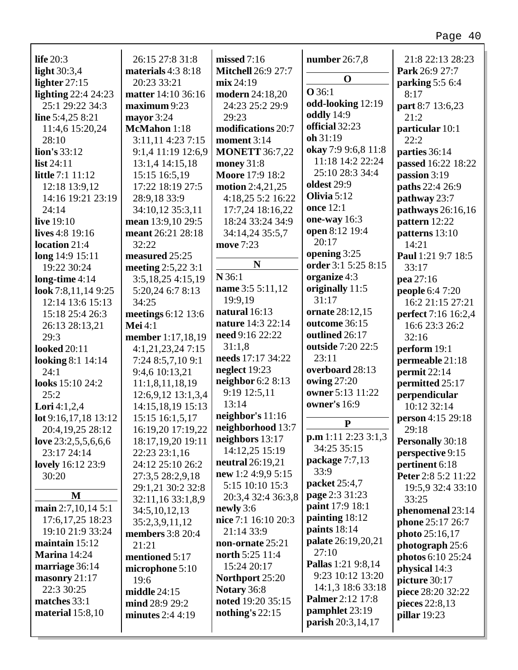| life $20:3$              | 26:15 27:8 31:8         | missed 7:16               | number $26:7,8$           | 21:8 22:13 28:23        |
|--------------------------|-------------------------|---------------------------|---------------------------|-------------------------|
| light 30:3,4             | materials $4:38:18$     | <b>Mitchell 26:9 27:7</b> |                           | Park 26:9 27:7          |
| lighter $27:15$          | 20:23 33:21             | mix 24:19                 | $\mathbf 0$               | parking 5:5 6:4         |
| lighting $22:424:23$     | matter 14:10 36:16      | <b>modern</b> 24:18,20    | <b>O</b> 36:1             | 8:17                    |
| 25:1 29:22 34:3          | maximum 9:23            | 24:23 25:2 29:9           | odd-looking 12:19         | part 8:7 13:6,23        |
| line 5:4,25 8:21         | mayor 3:24              | 29:23                     | oddly 14:9                | 21:2                    |
| 11:4,6 15:20,24          | McMahon 1:18            | modifications 20:7        | official 32:23            | particular 10:1         |
| 28:10                    | 3:11,11 4:23 7:15       | moment 3:14               | oh 31:19                  | 22:2                    |
| lion's 33:12             | 9:1,4 11:19 12:6,9      | <b>MONETT 36:7,22</b>     | okay 7:9 9:6,8 11:8       | parties 36:14           |
| list 24:11               | 13:1,4 14:15,18         | money $31:8$              | 11:18 14:2 22:24          | passed 16:22 18:22      |
| <b>little</b> 7:1 11:12  | 15:15 16:5,19           | <b>Moore 17:9 18:2</b>    | 25:10 28:3 34:4           | passion 3:19            |
| 12:18 13:9,12            | 17:22 18:19 27:5        | motion $2:4,21,25$        | oldest 29:9               | paths 22:4 26:9         |
| 14:16 19:21 23:19        | 28:9,18 33:9            | 4:18,25 5:2 16:22         | Olivia 5:12               | pathway 23:7            |
| 24:14                    | 34:10,12 35:3,11        | 17:7,24 18:16,22          | once 12:1                 | pathways 26:16,16       |
| live 19:10               | mean 13:9,10 29:5       | 18:24 33:24 34:9          | one-way 16:3              | pattern 12:22           |
| lives $4:8$ 19:16        | meant 26:21 28:18       | 34:14,24 35:5,7           | open 8:12 19:4            | patterns 13:10          |
| location 21:4            | 32:22                   | move 7:23                 | 20:17                     | 14:21                   |
| long 14:9 15:11          | measured 25:25          |                           | opening 3:25              | Paul 1:21 9:7 18:5      |
| 19:22 30:24              | meeting $2:5,223:1$     | $\mathbf N$               | order 3:1 5:25 8:15       | 33:17                   |
| long-time $4:14$         | 3:5,18,25 4:15,19       | N 36:1                    | organize 4:3              | pea 27:16               |
| look 7:8,11,14 9:25      | 5:20,24 6:7 8:13        | name 3:5 5:11,12          | originally 11:5           | people 6:4 7:20         |
| 12:14 13:6 15:13         | 34:25                   | 19:9,19                   | 31:17                     | 16:2 21:15 27:21        |
| 15:18 25:4 26:3          | meetings 6:12 13:6      | natural 16:13             | ornate 28:12,15           | perfect 7:16 16:2,4     |
| 26:13 28:13,21           | Mei $4:1$               | nature 14:3 22:14         | outcome 36:15             | 16:6 23:3 26:2          |
| 29:3                     | member 1:17,18,19       | need 9:16 22:22           | outlined 26:17            | 32:16                   |
| <b>looked</b> 20:11      | 4:1,21,23,247:15        | 31:1,8                    | outside 7:20 22:5         | perform 19:1            |
| <b>looking 8:1 14:14</b> | 7:24 8:5,7,10 9:1       | needs 17:17 34:22         | 23:11                     | permeable 21:18         |
| 24:1                     | 9:4,6 10:13,21          | neglect 19:23             | overboard 28:13           | permit 22:14            |
| looks 15:10 24:2         | 11:1,8,11,18,19         | neighbor 6:2 8:13         | <b>owing 27:20</b>        | permitted 25:17         |
| 25:2                     | 12:6,9,12 13:1,3,4      | 9:19 12:5,11              | owner 5:13 11:22          | perpendicular           |
| <b>Lori</b> 4:1,2,4      | 14:15,18,19 15:13       | 13:14                     | owner's 16:9              | 10:12 32:14             |
| lot 9:16,17,18 13:12     | 15:15 16:1,5,17         | neighbor's 11:16          |                           | person 4:15 29:18       |
| 20:4,19,25 28:12         | 16:19,20 17:19,22       | neighborhood 13:7         | $\mathbf{P}$              | 29:18                   |
| love 23:2,5,5,6,6,6      | 18:17,19,20 19:11       | neighbors 13:17           | p.m 1:11 2:23 3:1,3       | <b>Personally 30:18</b> |
| 23:17 24:14              | 22:23 23:1,16           | 14:12,25 15:19            | 34:25 35:15               | perspective 9:15        |
| <b>lovely</b> 16:12 23:9 | 24:12 25:10 26:2        | neutral 26:19,21          | package 7:7,13            | pertinent 6:18          |
| 30:20                    | 27:3,5 28:2,9,18        | new 1:2 4:9,9 5:15        | 33:9                      | Peter 2:8 5:2 11:22     |
|                          | 29:1,21 30:2 32:8       | 5:15 10:10 15:3           | packet 25:4,7             | 19:5,9 32:4 33:10       |
| $\bf M$                  | 32:11,16 33:1,8,9       | 20:3,4 32:4 36:3,8        | page 2:3 31:23            | 33:25                   |
| main 2:7,10,14 5:1       | 34:5, 10, 12, 13        | newly 3:6                 | paint 17:9 18:1           | phenomenal 23:14        |
| 17:6, 17, 25 18:23       | 35:2,3,9,11,12          | nice 7:1 16:10 20:3       | painting 18:12            | phone 25:17 26:7        |
| 19:10 21:9 33:24         | <b>members</b> 3:8 20:4 | 21:14 33:9                | paints $18:14$            | photo 25:16,17          |
| maintain $15:12$         | 21:21                   | non-ornate 25:21          | palate 26:19,20,21        | photograph 25:6         |
| <b>Marina</b> 14:24      | mentioned 5:17          | north 5:25 11:4           | 27:10                     | photos 6:10 25:24       |
| marriage 36:14           | microphone 5:10         | 15:24 20:17               | <b>Pallas</b> 1:21 9:8,14 | physical 14:3           |
| masonry 21:17            | 19:6                    | Northport 25:20           | 9:23 10:12 13:20          | picture 30:17           |
| 22:3 30:25               | middle $24:15$          | Notary 36:8               | 14:1,3 18:6 33:18         | piece 28:20 32:22       |
| matches 33:1             | mind 28:9 29:2          | noted 19:20 35:15         | <b>Palmer</b> 2:12 17:8   | pieces 22:8,13          |
| material $15:8,10$       | minutes $2:44:19$       | nothing's $22:15$         | pamphlet 23:19            | pillar 19:23            |
|                          |                         |                           | parish 20:3,14,17         |                         |

г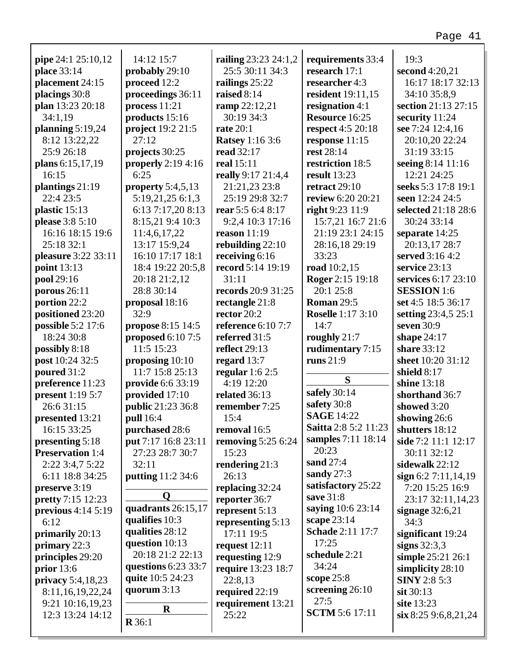|                          |                                   |                                         |                                    | 19:3                                    |
|--------------------------|-----------------------------------|-----------------------------------------|------------------------------------|-----------------------------------------|
| pipe 24:1 25:10,12       | 14:12 15:7                        | railing 23:23 24:1,2<br>25:5 30:11 34:3 | requirements 33:4<br>research 17:1 |                                         |
| place 33:14              | probably 29:10                    |                                         |                                    | second 4:20,21                          |
| placement 24:15          | proceed 12:2<br>proceedings 36:11 | railings 25:22<br>raised 8:14           | researcher 4:3                     | 16:17 18:17 32:13<br>34:10 35:8,9       |
| placings 30:8            |                                   |                                         | resident 19:11,15                  |                                         |
| plan 13:23 20:18         | process 11:21                     | ramp 22:12,21                           | resignation 4:1                    | section 21:13 27:15                     |
| 34:1,19                  | products 15:16                    | 30:19 34:3                              | Resource 16:25                     | security 11:24                          |
| planning $5:19,24$       | project 19:2 21:5<br>27:12        | <b>rate</b> 20:1                        | <b>respect</b> 4:5 20:18           | see 7:24 12:4,16                        |
| 8:12 13:22,22            |                                   | <b>Ratsey</b> 1:16 3:6                  | response 11:15                     | 20:10,20 22:24                          |
| 25:9 26:18               | projects 30:25                    | read 32:17                              | rest 28:14                         | 31:19 33:15                             |
| plans 6:15,17,19         | properly $2:194:16$               | real 15:11                              | restriction 18:5                   | seeing 8:14 11:16                       |
| 16:15                    | 6:25                              | really 9:17 21:4,4                      | <b>result</b> 13:23                | 12:21 24:25                             |
| plantings 21:19          | property $5:4,5,13$               | 21:21,23 23:8                           | retract $29:10$                    | seeks 5:3 17:8 19:1                     |
| 22:4 23:5                | 5:19,21,25 6:1,3                  | 25:19 29:8 32:7                         | review 6:20 20:21                  | seen 12:24 24:5                         |
| plastic 15:13            | 6:13 7:17,20 8:13                 | rear 5:5 6:4 8:17                       | right 9:23 11:9                    | selected 21:18 28:6                     |
| <b>please</b> 3:8 5:10   | 8:15,21 9:4 10:3                  | 9:2,4 10:3 17:16                        | 15:7,21 16:7 21:6                  | 30:24 33:14                             |
| 16:16 18:15 19:6         | 11:4,6,17,22                      | reason $11:19$                          | 21:19 23:1 24:15                   | separate 14:25                          |
| 25:18 32:1               | 13:17 15:9,24                     | rebuilding 22:10                        | 28:16,18 29:19                     | 20:13,17 28:7                           |
| pleasure 3:22 33:11      | 16:10 17:17 18:1                  | receiving 6:16                          | 33:23                              | served 3:16 4:2                         |
| <b>point</b> 13:13       | 18:4 19:22 20:5,8                 | record 5:14 19:19                       | road 10:2,15                       | service 23:13                           |
| pool 29:16               | 20:18 21:2,12                     | 31:11                                   | Roger 2:15 19:18                   | services 6:17 23:10                     |
| porous $26:11$           | 28:8 30:14                        | records 20:9 31:25                      | 20:1 25:8                          | <b>SESSION</b> 1:6                      |
| portion 22:2             | proposal 18:16                    | rectangle 21:8                          | <b>Roman 29:5</b>                  | set 4:5 18:5 36:17                      |
| positioned 23:20         | 32:9                              | rector $20:2$                           | <b>Roselle</b> 1:17 3:10           | setting 23:4,5 25:1                     |
| possible 5:2 17:6        | propose 8:15 14:5                 | <b>reference</b> 6:10 7:7               | 14:7                               | seven 30:9                              |
| 18:24 30:8               | proposed $6:107:5$                | referred 31:5                           | roughly 21:7                       | shape $24:17$                           |
| possibly 8:18            | 11:5 15:23                        | reflect 29:13                           | rudimentary 7:15                   | share 33:12                             |
| post 10:24 32:5          | proposing 10:10                   | regard 13:7                             | runs $21:9$                        | sheet 10:20 31:12                       |
| poured 31:2              | 11:7 15:8 25:13                   | regular $1:62:5$                        |                                    | shield $8:17$                           |
| preference 11:23         | provide 6:6 33:19                 | 4:19 12:20                              | S                                  | shine 13:18                             |
| <b>present</b> 1:19 5:7  | provided 17:10                    | related 36:13                           | safely 30:14                       | shorthand 36:7                          |
| 26:6 31:15               | public 21:23 36:8                 | remember 7:25                           | safety 30:8                        | showed 3:20                             |
| presented 13:21          | <b>pull</b> 16:4                  | 15:4                                    | <b>SAGE 14:22</b>                  | showing 26:6                            |
| 16:15 33:25              | purchased 28:6                    | removal 16:5                            | Saitta 2:8 5:2 11:23               | shutters 18:12                          |
| presenting 5:18          | put 7:17 16:8 23:11               | removing $5:256:24$                     | samples 7:11 18:14                 | side 7:2 11:1 12:17                     |
| <b>Preservation 1:4</b>  | 27:23 28:7 30:7                   | 15:23                                   | 20:23                              | 30:11 32:12                             |
| 2:22 3:4,7 5:22          | 32:11                             | rendering 21:3                          | sand 27:4                          | sidewalk 22:12                          |
| 6:11 18:8 34:25          | putting 11:2 34:6                 | 26:13                                   | sandy $27:3$                       | sign 6:2 7:11,14,19                     |
| preserve 3:19            |                                   | replacing 32:24                         | satisfactory 25:22                 | 7:20 15:25 16:9                         |
| <b>pretty</b> 7:15 12:23 | O                                 | reporter 36:7                           | save 31:8                          | 23:17 32:11,14,23                       |
| previous $4:14\,5:19$    | quadrants 26:15,17                | represent 5:13                          | saying 10:6 23:14                  | signage $32:6,21$                       |
| 6:12                     | qualifies 10:3                    | representing 5:13                       | scape $23:14$                      | 34:3                                    |
| primarily 20:13          | qualities 28:12                   | 17:11 19:5                              | <b>Schade</b> 2:11 17:7            | significant 19:24                       |
| primary $22:3$           | question 10:13                    | request 12:11                           | 17:25                              | signs $32:3,3$                          |
|                          | 20:18 21:2 22:13                  |                                         | schedule 2:21                      |                                         |
| principles 29:20         | questions 6:23 33:7               | requesting 12:9                         | 34:24                              | simple 25:21 26:1                       |
| prior $13:6$             | quite 10:5 24:23                  | require 13:23 18:7<br>22:8,13           | scope $25:8$                       | simplicity 28:10<br><b>SINY</b> 2:8 5:3 |
| privacy 5:4,18,23        | quorum 3:13                       |                                         | screening 26:10                    |                                         |
| 8:11, 16, 19, 22, 24     |                                   | required 22:19                          | 27:5                               | $s$ it 30:13                            |
| 9:21 10:16,19,23         | $\bf R$                           | requirement 13:21                       | <b>SCTM</b> 5:6 17:11              | site 13:23                              |
| 12:3 13:24 14:12         | R36:1                             | 25:22                                   |                                    | six 8:25 9:6,8,21,24                    |
|                          |                                   |                                         |                                    |                                         |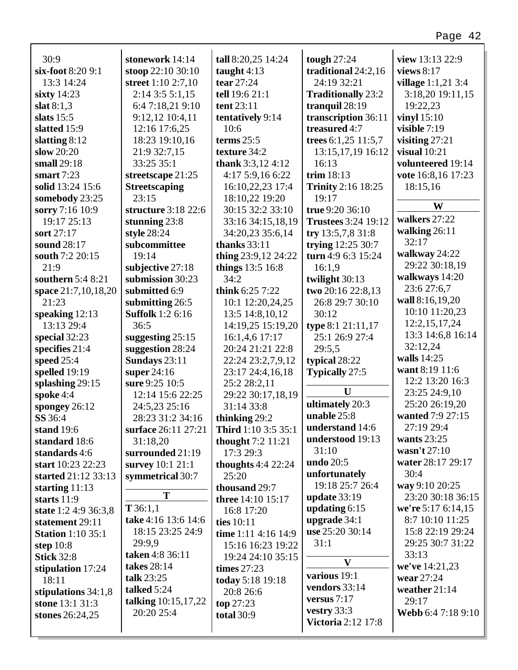| 30:9                     | stonework 14:14         | tall 8:20,25 14:24       | tough $27:24$              | view 13:13 22:9     |
|--------------------------|-------------------------|--------------------------|----------------------------|---------------------|
| six-foot 8:20 9:1        | stoop 22:10 30:10       | taught $4:13$            | traditional 24:2,16        | views $8:17$        |
| 13:3 14:24               | street 1:10 2:7,10      | tear 27:24               | 24:19 32:21                | village 1:1,21 3:4  |
| sixty $14:23$            | $2:14$ 3:5 5:1,15       | tell 19:6 21:1           | <b>Traditionally 23:2</b>  | 3:18,20 19:11,15    |
| slat $8:1,3$             | 6:4 7:18,21 9:10        | tent 23:11               | tranquil 28:19             | 19:22,23            |
| slats $15:5$             | 9:12,12 10:4,11         | tentatively 9:14         | transcription 36:11        | vinyl $15:10$       |
| slatted 15:9             | 12:16 17:6,25           | 10:6                     | treasured 4:7              | visible 7:19        |
| slatting $8:12$          | 18:23 19:10,16          | terms $25:5$             | trees 6:1,25 11:5,7        | visiting $27:21$    |
| slow $20:20$             | 21:9 32:7,15            | texture 34:2             | 13:15, 17, 19 16:12        | visual $10:21$      |
| small 29:18              | 33:25 35:1              | thank $3:3,12,4:12$      | 16:13                      | volunteered 19:14   |
| smart $7:23$             | streetscape 21:25       | 4:17 5:9,16 6:22         | trim $18:13$               | vote 16:8,16 17:23  |
| solid 13:24 15:6         | <b>Streetscaping</b>    | 16:10,22,23 17:4         | <b>Trinity</b> 2:16 18:25  | 18:15,16            |
| somebody 23:25           | 23:15                   | 18:10,22 19:20           | 19:17                      |                     |
| sorry 7:16 10:9          | structure 3:18 22:6     | 30:15 32:2 33:10         | true 9:20 36:10            | W                   |
| 19:17 25:13              | stunning $23:8$         | 33:16 34:15,18,19        | <b>Trustees</b> 3:24 19:12 | walkers 27:22       |
| sort 27:17               | style 28:24             | 34:20,23 35:6,14         | try $13:5,7,831:8$         | walking $26:11$     |
| sound 28:17              | subcommittee            | thanks $33:11$           | trying 12:25 30:7          | 32:17               |
| south 7:2 20:15          | 19:14                   | thing $23:9,12$ $24:22$  | turn 4:9 6:3 15:24         | walkway 24:22       |
| 21:9                     | subjective 27:18        | things 13:5 16:8         | 16:1,9                     | 29:22 30:18,19      |
| southern 5:4 8:21        | submission 30:23        | 34:2                     | twilight 30:13             | walkways 14:20      |
| space 21:7,10,18,20      | submitted 6:9           | think $6:25$ 7:22        | two 20:16 22:8,13          | 23:6 27:6,7         |
| 21:23                    | submitting 26:5         | 10:1 12:20,24,25         | 26:8 29:7 30:10            | wall 8:16,19,20     |
| speaking $12:13$         | <b>Suffolk</b> 1:2 6:16 | 13:5 14:8, 10, 12        | 30:12                      | 10:10 11:20,23      |
| 13:13 29:4               | 36:5                    | 14:19,25 15:19,20        | type 8:1 21:11,17          | 12:2, 15, 17, 24    |
| special 32:23            | suggesting $25:15$      | 16:1,4,6 17:17           | 25:1 26:9 27:4             | 13:3 14:6,8 16:14   |
| specifies $21:4$         | suggestion 28:24        | 20:24 21:21 22:8         | 29:5,5                     | 32:12,24            |
| speed $25:4$             | Sundays 23:11           | 22:24 23:2,7,9,12        | typical 28:22              | walls $14:25$       |
| spelled 19:19            | super $24:16$           | 23:17 24:4,16,18         | <b>Typically 27:5</b>      | want 8:19 11:6      |
| splashing 29:15          | sure 9:25 10:5          | 25:2 28:2,11             |                            | 12:2 13:20 16:3     |
| spoke 4:4                | 12:14 15:6 22:25        | 29:22 30:17,18,19        | U                          | 23:25 24:9,10       |
| spongey $26:12$          | 24:5,23 25:16           | 31:14 33:8               | ultimately 20:3            | 25:20 26:19,20      |
| SS 36:4                  | 28:23 31:2 34:16        | thinking 29:2            | unable 25:8                | wanted 7:9 27:15    |
| stand 19:6               | surface 26:11 27:21     | Third 1:10 3:5 35:1      | <b>understand</b> 14:6     | 27:19 29:4          |
| standard 18:6            | 31:18,20                | <b>thought</b> 7:2 11:21 | understood 19:13           | wants $23:25$       |
| standards 4:6            | surrounded 21:19        | 17:3 29:3                | 31:10                      | wasn't 27:10        |
| start 10:23 22:23        | survey $10:1 21:1$      | thoughts $4:4$ 22:24     | undo 20:5                  | water 28:17 29:17   |
| started 21:12 33:13      | symmetrical 30:7        | 25:20                    | unfortunately              | 30:4                |
| starting $11:13$         |                         | thousand 29:7            | 19:18 25:7 26:4            | way 9:10 20:25      |
| <b>starts</b> 11:9       | T                       | three 14:10 15:17        | update 33:19               | 23:20 30:18 36:15   |
| state 1:2 4:9 36:3,8     | T36:1,1                 | 16:8 17:20               | updating $6:15$            | we're $5:176:14,15$ |
| statement 29:11          | take 4:16 13:6 14:6     | ties 10:11               | upgrade 34:1               | 8:7 10:10 11:25     |
| <b>Station</b> 1:10 35:1 | 18:15 23:25 24:9        | time 1:11 4:16 14:9      | use 25:20 30:14            | 15:8 22:19 29:24    |
| step 10:8                | 29:9,9                  | 15:16 16:23 19:22        | 31:1                       | 29:25 30:7 31:22    |
| <b>Stick 32:8</b>        | taken 4:8 36:11         | 19:24 24:10 35:15        | $\mathbf{V}$               | 33:13               |
| stipulation 17:24        | takes 28:14             | times $27:23$            | various 19:1               | we've 14:21,23      |
| 18:11                    | talk 23:25              | today 5:18 19:18         | vendors 33:14              | wear 27:24          |
| stipulations 34:1,8      | talked 5:24             | 20:8 26:6                | versus $7:17$              | weather 21:14       |
| stone 13:1 31:3          | talking 10:15,17,22     | top 27:23                | vestry 33:3                | 29:17               |
| stones 26:24,25          | 20:20 25:4              | <b>total</b> 30:9        | <b>Victoria</b> 2:12 17:8  | Webb 6:4 7:18 9:10  |
|                          |                         |                          |                            |                     |